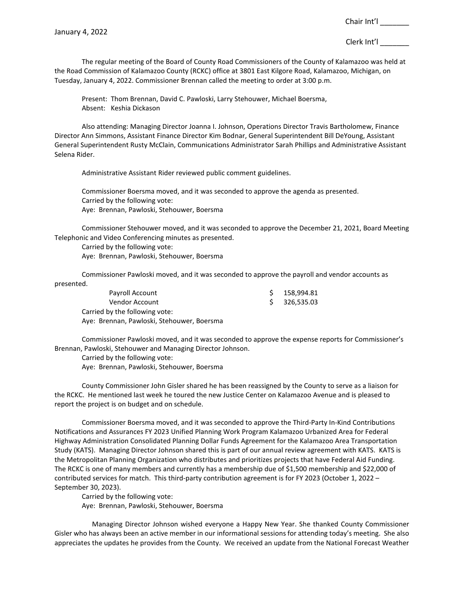The regular meeting of the Board of County Road Commissioners of the County of Kalamazoo was held at the Road Commission of Kalamazoo County (RCKC) office at 3801 East Kilgore Road, Kalamazoo, Michigan, on Tuesday, January 4, 2022. Commissioner Brennan called the meeting to order at 3:00 p.m.

Present: Thom Brennan, David C. Pawloski, Larry Stehouwer, Michael Boersma, Absent: Keshia Dickason

Also attending: Managing Director Joanna I. Johnson, Operations Director Travis Bartholomew, Finance Director Ann Simmons, Assistant Finance Director Kim Bodnar, General Superintendent Bill DeYoung, Assistant General Superintendent Rusty McClain, Communications Administrator Sarah Phillips and Administrative Assistant Selena Rider.

Administrative Assistant Rider reviewed public comment guidelines.

Commissioner Boersma moved, and it was seconded to approve the agenda as presented. Carried by the following vote: Aye: Brennan, Pawloski, Stehouwer, Boersma

Commissioner Stehouwer moved, and it was seconded to approve the December 21, 2021, Board Meeting Telephonic and Video Conferencing minutes as presented.

Carried by the following vote: Aye: Brennan, Pawloski, Stehouwer, Boersma

Commissioner Pawloski moved, and it was seconded to approve the payroll and vendor accounts as presented.

| Payroll Account                            | 158.994.81    |
|--------------------------------------------|---------------|
| Vendor Account                             | \$ 326.535.03 |
| Carried by the following vote:             |               |
| Aye: Brennan, Pawloski, Stehouwer, Boersma |               |

Commissioner Pawloski moved, and it was seconded to approve the expense reports for Commissioner's Brennan, Pawloski, Stehouwer and Managing Director Johnson.

Carried by the following vote:

Aye: Brennan, Pawloski, Stehouwer, Boersma

County Commissioner John Gisler shared he has been reassigned by the County to serve as a liaison for the RCKC. He mentioned last week he toured the new Justice Center on Kalamazoo Avenue and is pleased to report the project is on budget and on schedule.

Commissioner Boersma moved, and it was seconded to approve the Third-Party In-Kind Contributions Notifications and Assurances FY 2023 Unified Planning Work Program Kalamazoo Urbanized Area for Federal Highway Administration Consolidated Planning Dollar Funds Agreement for the Kalamazoo Area Transportation Study (KATS). Managing Director Johnson shared this is part of our annual review agreement with KATS. KATS is the Metropolitan Planning Organization who distributes and prioritizes projects that have Federal Aid Funding. The RCKC is one of many members and currently has a membership due of \$1,500 membership and \$22,000 of contributed services for match. This third-party contribution agreement is for FY 2023 (October 1, 2022 – September 30, 2023).

Carried by the following vote: Aye: Brennan, Pawloski, Stehouwer, Boersma

Managing Director Johnson wished everyone a Happy New Year. She thanked County Commissioner Gisler who has always been an active member in our informational sessions for attending today's meeting. She also appreciates the updates he provides from the County. We received an update from the National Forecast Weather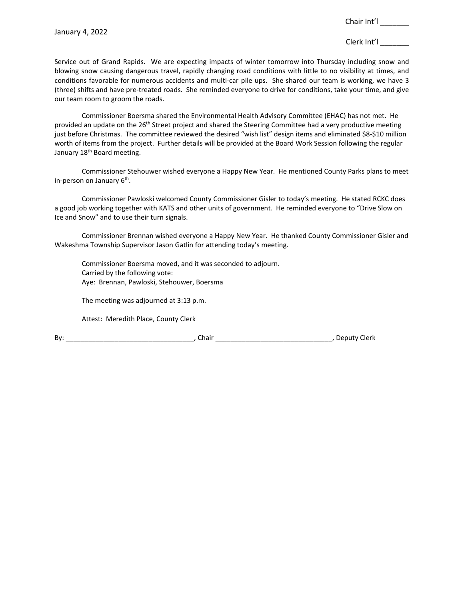Clerk Int'l \_\_\_\_\_\_\_

Service out of Grand Rapids. We are expecting impacts of winter tomorrow into Thursday including snow and blowing snow causing dangerous travel, rapidly changing road conditions with little to no visibility at times, and conditions favorable for numerous accidents and multi-car pile ups. She shared our team is working, we have 3 (three) shifts and have pre-treated roads. She reminded everyone to drive for conditions, take your time, and give our team room to groom the roads.

Commissioner Boersma shared the Environmental Health Advisory Committee (EHAC) has not met. He provided an update on the 26<sup>th</sup> Street project and shared the Steering Committee had a very productive meeting just before Christmas. The committee reviewed the desired "wish list" design items and eliminated \$8-\$10 million worth of items from the project. Further details will be provided at the Board Work Session following the regular January 18<sup>th</sup> Board meeting.

Commissioner Stehouwer wished everyone a Happy New Year. He mentioned County Parks plans to meet in-person on January  $6<sup>th</sup>$ .

Commissioner Pawloski welcomed County Commissioner Gisler to today's meeting. He stated RCKC does a good job working together with KATS and other units of government. He reminded everyone to "Drive Slow on Ice and Snow" and to use their turn signals.

Commissioner Brennan wished everyone a Happy New Year. He thanked County Commissioner Gisler and Wakeshma Township Supervisor Jason Gatlin for attending today's meeting.

Commissioner Boersma moved, and it was seconded to adjourn. Carried by the following vote: Aye: Brennan, Pawloski, Stehouwer, Boersma

The meeting was adjourned at 3:13 p.m.

Attest: Meredith Place, County Clerk

By: \_\_\_\_\_\_\_\_\_\_\_\_\_\_\_\_\_\_\_\_\_\_\_\_\_\_\_\_\_\_\_\_\_\_, Chair \_\_\_\_\_\_\_\_\_\_\_\_\_\_\_\_\_\_\_\_\_\_\_\_\_\_\_\_\_\_\_, Deputy Clerk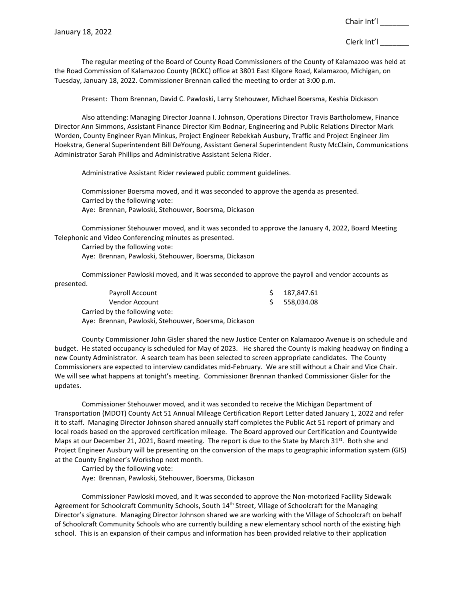The regular meeting of the Board of County Road Commissioners of the County of Kalamazoo was held at the Road Commission of Kalamazoo County (RCKC) office at 3801 East Kilgore Road, Kalamazoo, Michigan, on Tuesday, January 18, 2022. Commissioner Brennan called the meeting to order at 3:00 p.m.

Present: Thom Brennan, David C. Pawloski, Larry Stehouwer, Michael Boersma, Keshia Dickason

Also attending: Managing Director Joanna I. Johnson, Operations Director Travis Bartholomew, Finance Director Ann Simmons, Assistant Finance Director Kim Bodnar, Engineering and Public Relations Director Mark Worden, County Engineer Ryan Minkus, Project Engineer Rebekkah Ausbury, Traffic and Project Engineer Jim Hoekstra, General Superintendent Bill DeYoung, Assistant General Superintendent Rusty McClain, Communications Administrator Sarah Phillips and Administrative Assistant Selena Rider.

Administrative Assistant Rider reviewed public comment guidelines.

Commissioner Boersma moved, and it was seconded to approve the agenda as presented. Carried by the following vote: Aye: Brennan, Pawloski, Stehouwer, Boersma, Dickason

Commissioner Stehouwer moved, and it was seconded to approve the January 4, 2022, Board Meeting Telephonic and Video Conferencing minutes as presented.

Carried by the following vote: Aye: Brennan, Pawloski, Stehouwer, Boersma, Dickason

Commissioner Pawloski moved, and it was seconded to approve the payroll and vendor accounts as presented.

| Payroll Account                                      |    | 187.847.61 |
|------------------------------------------------------|----|------------|
| Vendor Account                                       | S. | 558.034.08 |
| Carried by the following vote:                       |    |            |
| Aye: Brennan, Pawloski, Stehouwer, Boersma, Dickason |    |            |

County Commissioner John Gisler shared the new Justice Center on Kalamazoo Avenue is on schedule and budget. He stated occupancy is scheduled for May of 2023. He shared the County is making headway on finding a new County Administrator. A search team has been selected to screen appropriate candidates. The County Commissioners are expected to interview candidates mid-February. We are still without a Chair and Vice Chair. We will see what happens at tonight's meeting. Commissioner Brennan thanked Commissioner Gisler for the updates.

Commissioner Stehouwer moved, and it was seconded to receive the Michigan Department of Transportation (MDOT) County Act 51 Annual Mileage Certification Report Letter dated January 1, 2022 and refer it to staff. Managing Director Johnson shared annually staff completes the Public Act 51 report of primary and local roads based on the approved certification mileage. The Board approved our Certification and Countywide Maps at our December 21, 2021, Board meeting. The report is due to the State by March 31st. Both she and Project Engineer Ausbury will be presenting on the conversion of the maps to geographic information system (GIS) at the County Engineer's Workshop next month.

Carried by the following vote:

Aye: Brennan, Pawloski, Stehouwer, Boersma, Dickason

Commissioner Pawloski moved, and it was seconded to approve the Non-motorized Facility Sidewalk Agreement for Schoolcraft Community Schools, South 14<sup>th</sup> Street, Village of Schoolcraft for the Managing Director's signature. Managing Director Johnson shared we are working with the Village of Schoolcraft on behalf of Schoolcraft Community Schools who are currently building a new elementary school north of the existing high school. This is an expansion of their campus and information has been provided relative to their application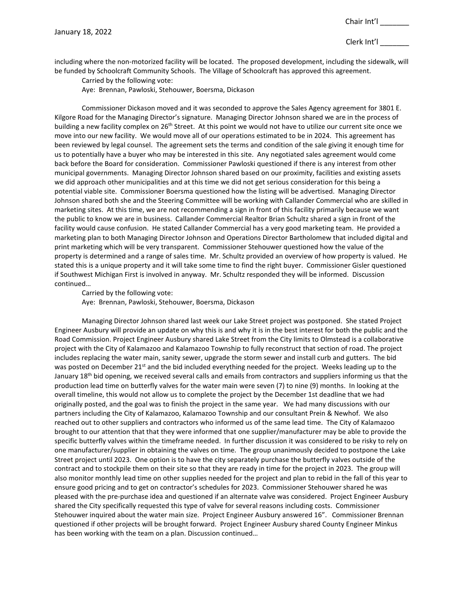including where the non-motorized facility will be located. The proposed development, including the sidewalk, will be funded by Schoolcraft Community Schools. The Village of Schoolcraft has approved this agreement.

Carried by the following vote:

Aye: Brennan, Pawloski, Stehouwer, Boersma, Dickason

Commissioner Dickason moved and it was seconded to approve the Sales Agency agreement for 3801 E. Kilgore Road for the Managing Director's signature. Managing Director Johnson shared we are in the process of building a new facility complex on 26<sup>th</sup> Street. At this point we would not have to utilize our current site once we move into our new facility. We would move all of our operations estimated to be in 2024. This agreement has been reviewed by legal counsel. The agreement sets the terms and condition of the sale giving it enough time for us to potentially have a buyer who may be interested in this site. Any negotiated sales agreement would come back before the Board for consideration. Commissioner Pawloski questioned if there is any interest from other municipal governments. Managing Director Johnson shared based on our proximity, facilities and existing assets we did approach other municipalities and at this time we did not get serious consideration for this being a potential viable site. Commissioner Boersma questioned how the listing will be advertised. Managing Director Johnson shared both she and the Steering Committee will be working with Callander Commercial who are skilled in marketing sites. At this time, we are not recommending a sign in front of this facility primarily because we want the public to know we are in business. Callander Commercial Realtor Brian Schultz shared a sign in front of the facility would cause confusion. He stated Callander Commercial has a very good marketing team. He provided a marketing plan to both Managing Director Johnson and Operations Director Bartholomew that included digital and print marketing which will be very transparent. Commissioner Stehouwer questioned how the value of the property is determined and a range of sales time. Mr. Schultz provided an overview of how property is valued. He stated this is a unique property and it will take some time to find the right buyer. Commissioner Gisler questioned if Southwest Michigan First is involved in anyway. Mr. Schultz responded they will be informed. Discussion continued…

Carried by the following vote: Aye: Brennan, Pawloski, Stehouwer, Boersma, Dickason

Managing Director Johnson shared last week our Lake Street project was postponed. She stated Project Engineer Ausbury will provide an update on why this is and why it is in the best interest for both the public and the Road Commission. Project Engineer Ausbury shared Lake Street from the City limits to Olmstead is a collaborative project with the City of Kalamazoo and Kalamazoo Township to fully reconstruct that section of road. The project includes replacing the water main, sanity sewer, upgrade the storm sewer and install curb and gutters. The bid was posted on December 21<sup>st</sup> and the bid included everything needed for the project. Weeks leading up to the January 18<sup>th</sup> bid opening, we received several calls and emails from contractors and suppliers informing us that the production lead time on butterfly valves for the water main were seven (7) to nine (9) months. In looking at the overall timeline, this would not allow us to complete the project by the December 1st deadline that we had originally posted, and the goal was to finish the project in the same year. We had many discussions with our partners including the City of Kalamazoo, Kalamazoo Township and our consultant Prein & Newhof. We also reached out to other suppliers and contractors who informed us of the same lead time. The City of Kalamazoo brought to our attention that that they were informed that one supplier/manufacturer may be able to provide the specific butterfly valves within the timeframe needed. In further discussion it was considered to be risky to rely on one manufacturer/supplier in obtaining the valves on time. The group unanimously decided to postpone the Lake Street project until 2023. One option is to have the city separately purchase the butterfly valves outside of the contract and to stockpile them on their site so that they are ready in time for the project in 2023. The group will also monitor monthly lead time on other supplies needed for the project and plan to rebid in the fall of this year to ensure good pricing and to get on contractor's schedules for 2023. Commissioner Stehouwer shared he was pleased with the pre-purchase idea and questioned if an alternate valve was considered. Project Engineer Ausbury shared the City specifically requested this type of valve for several reasons including costs. Commissioner Stehouwer inquired about the water main size. Project Engineer Ausbury answered 16". Commissioner Brennan questioned if other projects will be brought forward. Project Engineer Ausbury shared County Engineer Minkus has been working with the team on a plan. Discussion continued…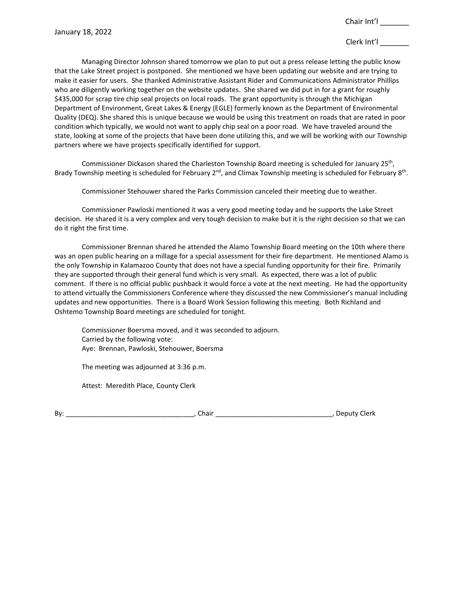Managing Director Johnson shared tomorrow we plan to put out a press release letting the public know that the Lake Street project is postponed. She mentioned we have been updating our website and are trying to make it easier for users. She thanked Administrative Assistant Rider and Communications Administrator Phillips who are diligently working together on the website updates. She shared we did put in for a grant for roughly \$435,000 for scrap tire chip seal projects on local roads. The grant opportunity is through the Michigan Department of Environment, Great Lakes & Energy (EGLE) formerly known as the Department of Environmental Quality (DEQ). She shared this is unique because we would be using this treatment on roads that are rated in poor condition which typically, we would not want to apply chip seal on a poor road. We have traveled around the state, looking at some of the projects that have been done utilizing this, and we will be working with our Township partners where we have projects specifically identified for support.

Commissioner Dickason shared the Charleston Township Board meeting is scheduled for January 25<sup>th</sup>, Brady Township meeting is scheduled for February  $2^{nd}$ , and Climax Township meeting is scheduled for February  $8^{th}$ .

Commissioner Stehouwer shared the Parks Commission canceled their meeting due to weather.

Commissioner Pawloski mentioned it was a very good meeting today and he supports the Lake Street decision. He shared it is a very complex and very tough decision to make but it is the right decision so that we can do it right the first time.

Commissioner Brennan shared he attended the Alamo Township Board meeting on the 10th where there was an open public hearing on a millage for a special assessment for their fire department. He mentioned Alamo is the only Township in Kalamazoo County that does not have a special funding opportunity for their fire. Primarily they are supported through their general fund which is very small. As expected, there was a lot of public comment. If there is no official public pushback it would force a vote at the next meeting. He had the opportunity to attend virtually the Commissioners Conference where they discussed the new Commissioner's manual including updates and new opportunities. There is a Board Work Session following this meeting. Both Richland and Oshtemo Township Board meetings are scheduled for tonight.

Commissioner Boersma moved, and it was seconded to adjourn. Carried by the following vote: Aye: Brennan, Pawloski, Stehouwer, Boersma

The meeting was adjourned at 3:36 p.m.

Attest: Meredith Place, County Clerk

| D,<br>DV |  |  |  |  |  |  |  |
|----------|--|--|--|--|--|--|--|
|----------|--|--|--|--|--|--|--|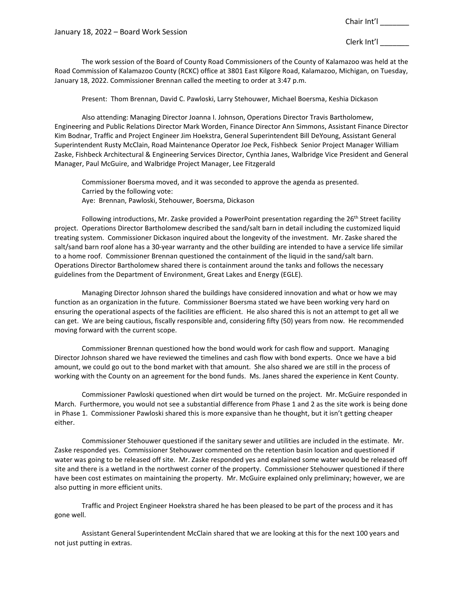January 18, 2022 – Board Work Session

Chair Int'l \_\_\_\_\_\_\_

Clerk Int'l \_\_\_\_\_\_\_

The work session of the Board of County Road Commissioners of the County of Kalamazoo was held at the Road Commission of Kalamazoo County (RCKC) office at 3801 East Kilgore Road, Kalamazoo, Michigan, on Tuesday, January 18, 2022. Commissioner Brennan called the meeting to order at 3:47 p.m.

Present: Thom Brennan, David C. Pawloski, Larry Stehouwer, Michael Boersma, Keshia Dickason

Also attending: Managing Director Joanna I. Johnson, Operations Director Travis Bartholomew, Engineering and Public Relations Director Mark Worden, Finance Director Ann Simmons, Assistant Finance Director Kim Bodnar, Traffic and Project Engineer Jim Hoekstra, General Superintendent Bill DeYoung, Assistant General Superintendent Rusty McClain, Road Maintenance Operator Joe Peck, Fishbeck Senior Project Manager William Zaske, Fishbeck Architectural & Engineering Services Director, Cynthia Janes, Walbridge Vice President and General Manager, Paul McGuire, and Walbridge Project Manager, Lee Fitzgerald

Commissioner Boersma moved, and it was seconded to approve the agenda as presented. Carried by the following vote: Aye: Brennan, Pawloski, Stehouwer, Boersma, Dickason

Following introductions, Mr. Zaske provided a PowerPoint presentation regarding the 26<sup>th</sup> Street facility project. Operations Director Bartholomew described the sand/salt barn in detail including the customized liquid treating system. Commissioner Dickason inquired about the longevity of the investment. Mr. Zaske shared the salt/sand barn roof alone has a 30-year warranty and the other building are intended to have a service life similar to a home roof. Commissioner Brennan questioned the containment of the liquid in the sand/salt barn. Operations Director Bartholomew shared there is containment around the tanks and follows the necessary guidelines from the Department of Environment, Great Lakes and Energy (EGLE).

Managing Director Johnson shared the buildings have considered innovation and what or how we may function as an organization in the future. Commissioner Boersma stated we have been working very hard on ensuring the operational aspects of the facilities are efficient. He also shared this is not an attempt to get all we can get. We are being cautious, fiscally responsible and, considering fifty (50) years from now. He recommended moving forward with the current scope.

Commissioner Brennan questioned how the bond would work for cash flow and support. Managing Director Johnson shared we have reviewed the timelines and cash flow with bond experts. Once we have a bid amount, we could go out to the bond market with that amount. She also shared we are still in the process of working with the County on an agreement for the bond funds. Ms. Janes shared the experience in Kent County.

Commissioner Pawloski questioned when dirt would be turned on the project. Mr. McGuire responded in March. Furthermore, you would not see a substantial difference from Phase 1 and 2 as the site work is being done in Phase 1. Commissioner Pawloski shared this is more expansive than he thought, but it isn't getting cheaper either.

Commissioner Stehouwer questioned if the sanitary sewer and utilities are included in the estimate. Mr. Zaske responded yes. Commissioner Stehouwer commented on the retention basin location and questioned if water was going to be released off site. Mr. Zaske responded yes and explained some water would be released off site and there is a wetland in the northwest corner of the property. Commissioner Stehouwer questioned if there have been cost estimates on maintaining the property. Mr. McGuire explained only preliminary; however, we are also putting in more efficient units.

Traffic and Project Engineer Hoekstra shared he has been pleased to be part of the process and it has gone well.

Assistant General Superintendent McClain shared that we are looking at this for the next 100 years and not just putting in extras.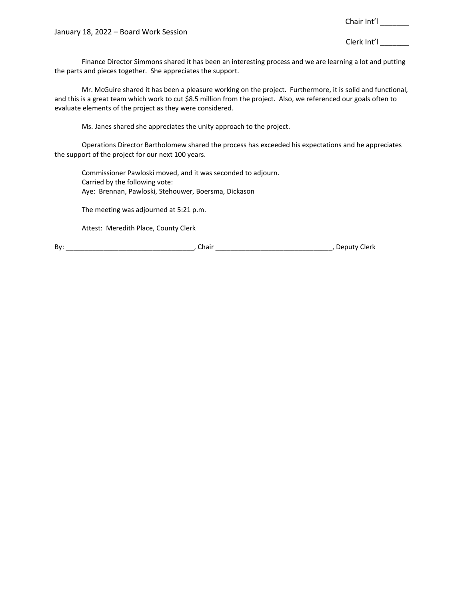January 18, 2022 – Board Work Session

Chair Int'l \_\_\_\_\_\_\_

Clerk Int'l \_\_\_\_\_\_\_

Finance Director Simmons shared it has been an interesting process and we are learning a lot and putting the parts and pieces together. She appreciates the support.

Mr. McGuire shared it has been a pleasure working on the project. Furthermore, it is solid and functional, and this is a great team which work to cut \$8.5 million from the project. Also, we referenced our goals often to evaluate elements of the project as they were considered.

Ms. Janes shared she appreciates the unity approach to the project.

Operations Director Bartholomew shared the process has exceeded his expectations and he appreciates the support of the project for our next 100 years.

Commissioner Pawloski moved, and it was seconded to adjourn. Carried by the following vote: Aye: Brennan, Pawloski, Stehouwer, Boersma, Dickason

The meeting was adjourned at 5:21 p.m.

Attest: Meredith Place, County Clerk

By: \_\_\_\_\_\_\_\_\_\_\_\_\_\_\_\_\_\_\_\_\_\_\_\_\_\_\_\_\_\_\_\_\_\_, Chair \_\_\_\_\_\_\_\_\_\_\_\_\_\_\_\_\_\_\_\_\_\_\_\_\_\_\_\_\_\_\_, Deputy Clerk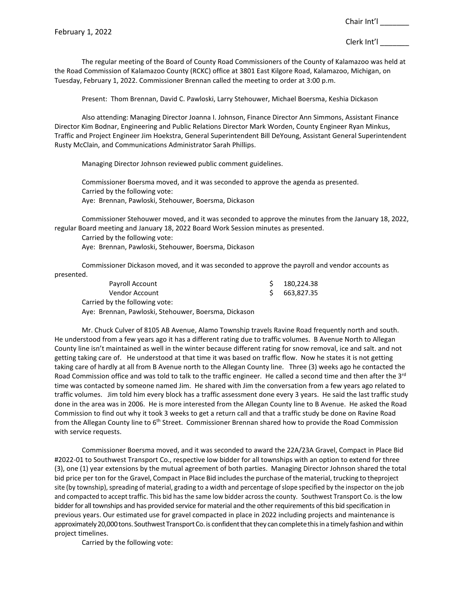The regular meeting of the Board of County Road Commissioners of the County of Kalamazoo was held at the Road Commission of Kalamazoo County (RCKC) office at 3801 East Kilgore Road, Kalamazoo, Michigan, on Tuesday, February 1, 2022. Commissioner Brennan called the meeting to order at 3:00 p.m.

Present: Thom Brennan, David C. Pawloski, Larry Stehouwer, Michael Boersma, Keshia Dickason

Also attending: Managing Director Joanna I. Johnson, Finance Director Ann Simmons, Assistant Finance Director Kim Bodnar, Engineering and Public Relations Director Mark Worden, County Engineer Ryan Minkus, Traffic and Project Engineer Jim Hoekstra, General Superintendent Bill DeYoung, Assistant General Superintendent Rusty McClain, and Communications Administrator Sarah Phillips.

Managing Director Johnson reviewed public comment guidelines.

Commissioner Boersma moved, and it was seconded to approve the agenda as presented. Carried by the following vote: Aye: Brennan, Pawloski, Stehouwer, Boersma, Dickason

Commissioner Stehouwer moved, and it was seconded to approve the minutes from the January 18, 2022, regular Board meeting and January 18, 2022 Board Work Session minutes as presented.

Carried by the following vote: Aye: Brennan, Pawloski, Stehouwer, Boersma, Dickason

Commissioner Dickason moved, and it was seconded to approve the payroll and vendor accounts as presented.

| Payroll Account                                      | 180,224.38 |
|------------------------------------------------------|------------|
| Vendor Account                                       | 663,827.35 |
| Carried by the following vote:                       |            |
| Aye: Brennan, Pawloski, Stehouwer, Boersma, Dickason |            |

Mr. Chuck Culver of 8105 AB Avenue, Alamo Township travels Ravine Road frequently north and south. He understood from a few years ago it has a different rating due to traffic volumes. B Avenue North to Allegan County line isn't maintained as well in the winter because different rating for snow removal, ice and salt. and not getting taking care of. He understood at that time it was based on traffic flow. Now he states it is not getting taking care of hardly at all from B Avenue north to the Allegan County line. Three (3) weeks ago he contacted the Road Commission office and was told to talk to the traffic engineer. He called a second time and then after the 3<sup>rd</sup> time was contacted by someone named Jim. He shared with Jim the conversation from a few years ago related to traffic volumes. Jim told him every block has a traffic assessment done every 3 years. He said the last traffic study done in the area was in 2006. He is more interested from the Allegan County line to B Avenue. He asked the Road Commission to find out why it took 3 weeks to get a return call and that a traffic study be done on Ravine Road from the Allegan County line to 6<sup>th</sup> Street. Commissioner Brennan shared how to provide the Road Commission with service requests.

Commissioner Boersma moved, and it was seconded to award the 22A/23A Gravel, Compact in Place Bid #2022-01 to Southwest Transport Co., respective low bidder for all townships with an option to extend for three (3), one (1) year extensions by the mutual agreement of both parties. Managing Director Johnson shared the total bid price per ton for the Gravel, Compact in Place Bid includes the purchase of the material, trucking to theproject site (by township), spreading of material, grading to a width and percentage ofslope specified by the inspector on the job and compacted to accept traffic. This bid has the same low bidder across the county. Southwest Transport Co. is the low bidder for all townships and has provided service for material and the other requirements of this bid specification in previous years. Our estimated use for gravel compacted in place in 2022 including projects and maintenance is approximately 20,000 tons. Southwest Transport Co. is confident that they can complete this in a timely fashion and within project timelines.

Carried by the following vote: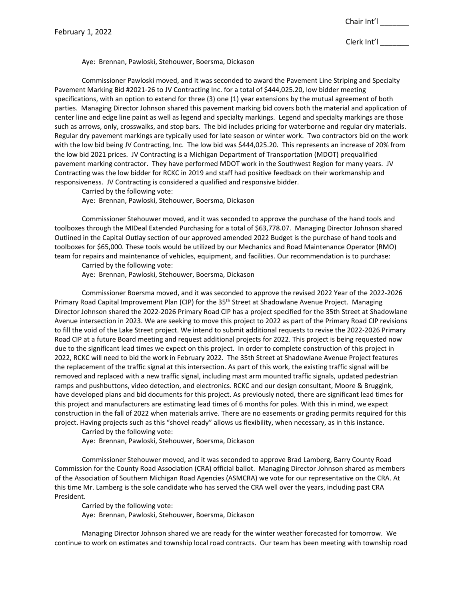Clerk Int'l \_\_\_\_\_\_\_

Aye: Brennan, Pawloski, Stehouwer, Boersma, Dickason

Commissioner Pawloski moved, and it was seconded to award the Pavement Line Striping and Specialty Pavement Marking Bid #2021-26 to JV Contracting Inc. for a total of \$444,025.20, low bidder meeting specifications, with an option to extend for three (3) one (1) year extensions by the mutual agreement of both parties. Managing Director Johnson shared this pavement marking bid covers both the material and application of center line and edge line paint as well as legend and specialty markings. Legend and specialty markings are those such as arrows, only, crosswalks, and stop bars. The bid includes pricing for waterborne and regular dry materials. Regular dry pavement markings are typically used for late season or winter work. Two contractors bid on the work with the low bid being JV Contracting, Inc. The low bid was \$444,025.20. This represents an increase of 20% from the low bid 2021 prices. JV Contracting is a Michigan Department of Transportation (MDOT) prequalified pavement marking contractor. They have performed MDOT work in the Southwest Region for many years. JV Contracting was the low bidder for RCKC in 2019 and staff had positive feedback on their workmanship and responsiveness. JV Contracting is considered a qualified and responsive bidder.

Carried by the following vote:

Aye: Brennan, Pawloski, Stehouwer, Boersma, Dickason

Commissioner Stehouwer moved, and it was seconded to approve the purchase of the hand tools and toolboxes through the MIDeal Extended Purchasing for a total of \$63,778.07. Managing Director Johnson shared Outlined in the Capital Outlay section of our approved amended 2022 Budget is the purchase of hand tools and toolboxes for \$65,000. These tools would be utilized by our Mechanics and Road Maintenance Operator (RMO) team for repairs and maintenance of vehicles, equipment, and facilities. Our recommendation is to purchase:

Carried by the following vote:

Aye: Brennan, Pawloski, Stehouwer, Boersma, Dickason

Commissioner Boersma moved, and it was seconded to approve the revised 2022 Year of the 2022-2026 Primary Road Capital Improvement Plan (CIP) for the 35<sup>th</sup> Street at Shadowlane Avenue Project. Managing Director Johnson shared the 2022-2026 Primary Road CIP has a project specified for the 35th Street at Shadowlane Avenue intersection in 2023. We are seeking to move this project to 2022 as part of the Primary Road CIP revisions to fill the void of the Lake Street project. We intend to submit additional requests to revise the 2022-2026 Primary Road CIP at a future Board meeting and request additional projects for 2022. This project is being requested now due to the significant lead times we expect on this project. In order to complete construction of this project in 2022, RCKC will need to bid the work in February 2022. The 35th Street at Shadowlane Avenue Project features the replacement of the traffic signal at this intersection. As part of this work, the existing traffic signal will be removed and replaced with a new traffic signal, including mast arm mounted traffic signals, updated pedestrian ramps and pushbuttons, video detection, and electronics. RCKC and our design consultant, Moore & Bruggink, have developed plans and bid documents for this project. As previously noted, there are significant lead times for this project and manufacturers are estimating lead times of 6 months for poles. With this in mind, we expect construction in the fall of 2022 when materials arrive. There are no easements or grading permits required for this project. Having projects such as this "shovel ready" allows us flexibility, when necessary, as in this instance.

Carried by the following vote:

Aye: Brennan, Pawloski, Stehouwer, Boersma, Dickason

Commissioner Stehouwer moved, and it was seconded to approve Brad Lamberg, Barry County Road Commission for the County Road Association (CRA) official ballot. Managing Director Johnson shared as members of the Association of Southern Michigan Road Agencies (ASMCRA) we vote for our representative on the CRA. At this time Mr. Lamberg is the sole candidate who has served the CRA well over the years, including past CRA President.

Carried by the following vote:

Aye: Brennan, Pawloski, Stehouwer, Boersma, Dickason

Managing Director Johnson shared we are ready for the winter weather forecasted for tomorrow. We continue to work on estimates and township local road contracts. Our team has been meeting with township road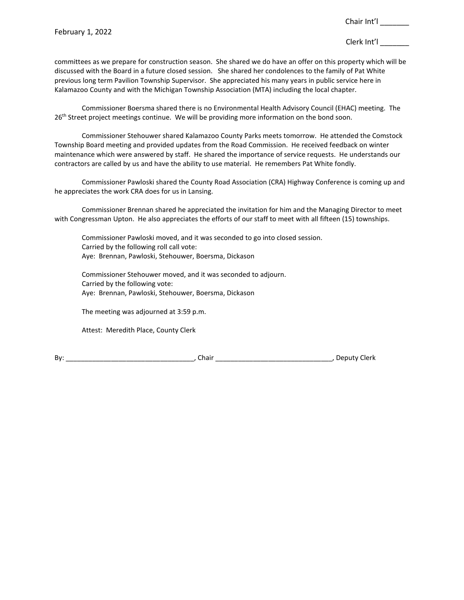committees as we prepare for construction season. She shared we do have an offer on this property which will be discussed with the Board in a future closed session. She shared her condolences to the family of Pat White previous long term Pavilion Township Supervisor. She appreciated his many years in public service here in Kalamazoo County and with the Michigan Township Association (MTA) including the local chapter.

Commissioner Boersma shared there is no Environmental Health Advisory Council (EHAC) meeting. The 26<sup>th</sup> Street project meetings continue. We will be providing more information on the bond soon.

Commissioner Stehouwer shared Kalamazoo County Parks meets tomorrow. He attended the Comstock Township Board meeting and provided updates from the Road Commission. He received feedback on winter maintenance which were answered by staff. He shared the importance of service requests. He understands our contractors are called by us and have the ability to use material. He remembers Pat White fondly.

Commissioner Pawloski shared the County Road Association (CRA) Highway Conference is coming up and he appreciates the work CRA does for us in Lansing.

Commissioner Brennan shared he appreciated the invitation for him and the Managing Director to meet with Congressman Upton. He also appreciates the efforts of our staff to meet with all fifteen (15) townships.

Commissioner Pawloski moved, and it was seconded to go into closed session. Carried by the following roll call vote: Aye: Brennan, Pawloski, Stehouwer, Boersma, Dickason

Commissioner Stehouwer moved, and it was seconded to adjourn. Carried by the following vote: Aye: Brennan, Pawloski, Stehouwer, Boersma, Dickason

The meeting was adjourned at 3:59 p.m.

Attest: Meredith Place, County Clerk

By: \_\_\_\_\_\_\_\_\_\_\_\_\_\_\_\_\_\_\_\_\_\_\_\_\_\_\_\_\_\_\_\_\_\_, Chair \_\_\_\_\_\_\_\_\_\_\_\_\_\_\_\_\_\_\_\_\_\_\_\_\_\_\_\_\_\_\_, Deputy Clerk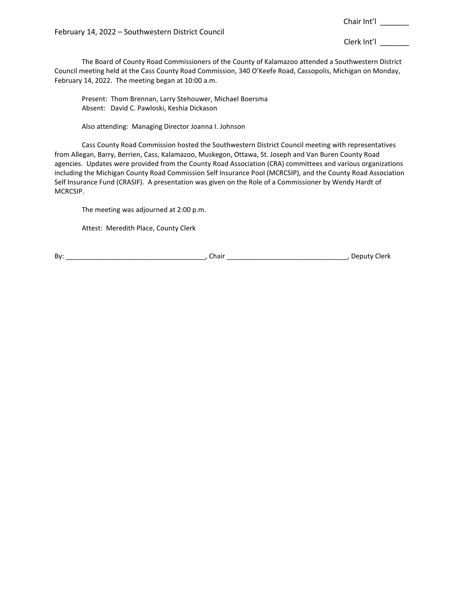Clerk Int'l \_\_\_\_\_\_\_

The Board of County Road Commissioners of the County of Kalamazoo attended a Southwestern District Council meeting held at the Cass County Road Commission, 340 O'Keefe Road, Cassopolis, Michigan on Monday, February 14, 2022. The meeting began at 10:00 a.m.

Present: Thom Brennan, Larry Stehouwer, Michael Boersma Absent: David C. Pawloski, Keshia Dickason

Also attending: Managing Director Joanna I. Johnson

Cass County Road Commission hosted the Southwestern District Council meeting with representatives from Allegan, Barry, Berrien, Cass, Kalamazoo, Muskegon, Ottawa, St. Joseph and Van Buren County Road agencies. Updates were provided from the County Road Association (CRA) committees and various organizations including the Michigan County Road Commission Self Insurance Pool (MCRCSIP), and the County Road Association Self Insurance Fund (CRASIF). A presentation was given on the Role of a Commissioner by Wendy Hardt of MCRCSIP.

The meeting was adjourned at 2:00 p.m.

Attest: Meredith Place, County Clerk

By: \_\_\_\_\_\_\_\_\_\_\_\_\_\_\_\_\_\_\_\_\_\_\_\_\_\_\_\_\_\_\_\_\_\_\_\_\_, Chair \_\_\_\_\_\_\_\_\_\_\_\_\_\_\_\_\_\_\_\_\_\_\_\_\_\_\_\_\_\_\_\_, Deputy Clerk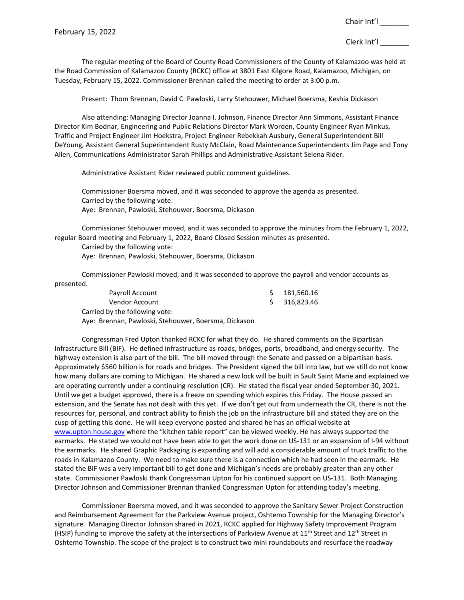The regular meeting of the Board of County Road Commissioners of the County of Kalamazoo was held at the Road Commission of Kalamazoo County (RCKC) office at 3801 East Kilgore Road, Kalamazoo, Michigan, on Tuesday, February 15, 2022. Commissioner Brennan called the meeting to order at 3:00 p.m.

Present: Thom Brennan, David C. Pawloski, Larry Stehouwer, Michael Boersma, Keshia Dickason

Also attending: Managing Director Joanna I. Johnson, Finance Director Ann Simmons, Assistant Finance Director Kim Bodnar, Engineering and Public Relations Director Mark Worden, County Engineer Ryan Minkus, Traffic and Project Engineer Jim Hoekstra, Project Engineer Rebekkah Ausbury, General Superintendent Bill DeYoung, Assistant General Superintendent Rusty McClain, Road Maintenance Superintendents Jim Page and Tony Allen, Communications Administrator Sarah Phillips and Administrative Assistant Selena Rider.

Administrative Assistant Rider reviewed public comment guidelines.

Commissioner Boersma moved, and it was seconded to approve the agenda as presented. Carried by the following vote: Aye: Brennan, Pawloski, Stehouwer, Boersma, Dickason

Commissioner Stehouwer moved, and it was seconded to approve the minutes from the February 1, 2022, regular Board meeting and February 1, 2022, Board Closed Session minutes as presented.

Carried by the following vote: Aye: Brennan, Pawloski, Stehouwer, Boersma, Dickason

Commissioner Pawloski moved, and it was seconded to approve the payroll and vendor accounts as presented.

| Payroll Account                                      | $5$ 181.560.16 |
|------------------------------------------------------|----------------|
| Vendor Account                                       | \$ 316.823.46  |
| Carried by the following vote:                       |                |
| Aye: Brennan, Pawloski, Stehouwer, Boersma, Dickason |                |

Congressman Fred Upton thanked RCKC for what they do. He shared comments on the Bipartisan Infrastructure Bill (BIF). He defined infrastructure as roads, bridges, ports, broadband, and energy security. The highway extension is also part of the bill. The bill moved through the Senate and passed on a bipartisan basis. Approximately \$560 billion is for roads and bridges. The President signed the bill into law, but we still do not know how many dollars are coming to Michigan. He shared a new lock will be built in Sault Saint Marie and explained we are operating currently under a continuing resolution (CR). He stated the fiscal year ended September 30, 2021. Until we get a budget approved, there is a freeze on spending which expires this Friday. The House passed an extension, and the Senate has not dealt with this yet. If we don't get out from underneath the CR, there is not the resources for, personal, and contract ability to finish the job on the infrastructure bill and stated they are on the cusp of getting this done. He will keep everyone posted and shared he has an official website at [www.upton.house.gov](http://www.upton.house.gov/) where the "kitchen table report" can be viewed weekly. He has always supported the earmarks. He stated we would not have been able to get the work done on US-131 or an expansion of I-94 without the earmarks. He shared Graphic Packaging is expanding and will add a considerable amount of truck traffic to the roads in Kalamazoo County. We need to make sure there is a connection which he had seen in the earmark. He stated the BIF was a very important bill to get done and Michigan's needs are probably greater than any other state. Commissioner Pawloski thank Congressman Upton for his continued support on US-131. Both Managing Director Johnson and Commissioner Brennan thanked Congressman Upton for attending today's meeting.

Commissioner Boersma moved, and it was seconded to approve the Sanitary Sewer Project Construction and Reimbursement Agreement for the Parkview Avenue project, Oshtemo Township for the Managing Director's signature. Managing Director Johnson shared in 2021, RCKC applied for Highway Safety Improvement Program (HSIP) funding to improve the safety at the intersections of Parkview Avenue at  $11^{th}$  Street and  $12^{th}$  Street in Oshtemo Township. The scope of the project is to construct two mini roundabouts and resurface the roadway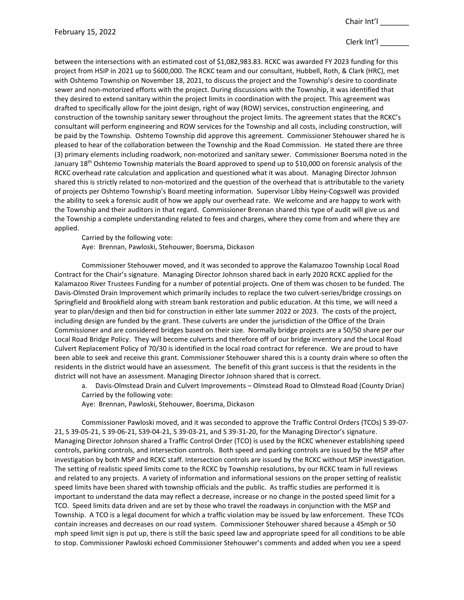# Clerk Int'l

between the intersections with an estimated cost of \$1,082,983.83. RCKC was awarded FY 2023 funding for this project from HSIP in 2021 up to \$600,000. The RCKC team and our consultant, Hubbell, Roth, & Clark (HRC), met with Oshtemo Township on November 18, 2021, to discuss the project and the Township's desire to coordinate sewer and non-motorized efforts with the project. During discussions with the Township, it was identified that they desired to extend sanitary within the project limits in coordination with the project. This agreement was drafted to specifically allow for the joint design, right of way (ROW) services, construction engineering, and construction of the township sanitary sewer throughout the project limits. The agreement states that the RCKC's consultant will perform engineering and ROW services for the Township and all costs, including construction, will be paid by the Township. Oshtemo Township did approve this agreement. Commissioner Stehouwer shared he is pleased to hear of the collaboration between the Township and the Road Commission. He stated there are three (3) primary elements including roadwork, non-motorized and sanitary sewer. Commissioner Boersma noted in the January 18th Oshtemo Township materials the Board approved to spend up to \$10,000 on forensic analysis of the RCKC overhead rate calculation and application and questioned what it was about. Managing Director Johnson shared this is strictly related to non-motorized and the question of the overhead that is attributable to the variety of projects per Oshtemo Township's Board meeting information. Supervisor Libby Heiny-Cogswell was provided the ability to seek a forensic audit of how we apply our overhead rate. We welcome and are happy to work with the Township and their auditors in that regard. Commissioner Brennan shared this type of audit will give us and the Township a complete understanding related to fees and charges, where they come from and where they are applied.

Carried by the following vote: Aye: Brennan, Pawloski, Stehouwer, Boersma, Dickason

Commissioner Stehouwer moved, and it was seconded to approve the Kalamazoo Township Local Road Contract for the Chair's signature. Managing Director Johnson shared back in early 2020 RCKC applied for the Kalamazoo River Trustees Funding for a number of potential projects. One of them was chosen to be funded. The Davis-Olmsted Drain Improvement which primarily includes to replace the two culvert-series/bridge crossings on Springfield and Brookfield along with stream bank restoration and public education. At this time, we will need a year to plan/design and then bid for construction in either late summer 2022 or 2023. The costs of the project, including design are funded by the grant. These culverts are under the jurisdiction of the Office of the Drain Commissioner and are considered bridges based on their size. Normally bridge projects are a 50/50 share per our Local Road Bridge Policy. They will become culverts and therefore off of our bridge inventory and the Local Road Culvert Replacement Policy of 70/30 is identified in the local road contract for reference. We are proud to have been able to seek and receive this grant. Commissioner Stehouwer shared this is a county drain where so often the residents in the district would have an assessment. The benefit of this grant success is that the residents in the district will not have an assessment. Managing Director Johnson shared that is correct.

a. Davis-Olmstead Drain and Culvert Improvements – Olmstead Road to Olmstead Road (County Drian) Carried by the following vote:

Aye: Brennan, Pawloski, Stehouwer, Boersma, Dickason

Commissioner Pawloski moved, and it was seconded to approve the Traffic Control Orders (TCOs) S 39-07- 21, S 39-05-21, S 39-06-21, S39-04-21, S 39-03-21, and S 39-31-20, for the Managing Director's signature. Managing Director Johnson shared a Traffic Control Order (TCO) is used by the RCKC whenever establishing speed controls, parking controls, and intersection controls. Both speed and parking controls are issued by the MSP after investigation by both MSP and RCKC staff. Intersection controls are issued by the RCKC without MSP investigation. The setting of realistic speed limits come to the RCKC by Township resolutions, by our RCKC team in full reviews and related to any projects. A variety of information and informational sessions on the proper setting of realistic speed limits have been shared with township officials and the public. As traffic studies are performed it is important to understand the data may reflect a decrease, increase or no change in the posted speed limit for a TCO. Speed limits data driven and are set by those who travel the roadways in conjunction with the MSP and Township. A TCO is a legal document for which a traffic violation may be issued by law enforcement. These TCOs contain increases and decreases on our road system. Commissioner Stehouwer shared because a 45mph or 50 mph speed limit sign is put up, there is still the basic speed law and appropriate speed for all conditions to be able to stop. Commissioner Pawloski echoed Commissioner Stehouwer's comments and added when you see a speed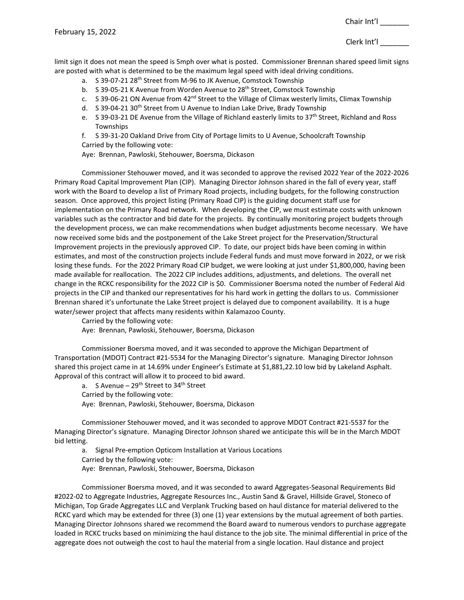limit sign it does not mean the speed is 5mph over what is posted. Commissioner Brennan shared speed limit signs are posted with what is determined to be the maximum legal speed with ideal driving conditions.

- a. S 39-07-21 28<sup>th</sup> Street from M-96 to JK Avenue, Comstock Township
- b. S 39-05-21 K Avenue from Worden Avenue to 28<sup>th</sup> Street, Comstock Township
- c. S 39-06-21 ON Avenue from 42<sup>nd</sup> Street to the Village of Climax westerly limits, Climax Township
- d. S 39-04-21 30<sup>th</sup> Street from U Avenue to Indian Lake Drive, Brady Township
- e. S 39-03-21 DE Avenue from the Village of Richland easterly limits to 37<sup>th</sup> Street, Richland and Ross Townships

f. S 39-31-20 Oakland Drive from City of Portage limits to U Avenue, Schoolcraft Township Carried by the following vote:

Aye: Brennan, Pawloski, Stehouwer, Boersma, Dickason

Commissioner Stehouwer moved, and it was seconded to approve the revised 2022 Year of the 2022-2026 Primary Road Capital Improvement Plan (CIP). Managing Director Johnson shared in the fall of every year, staff work with the Board to develop a list of Primary Road projects, including budgets, for the following construction season. Once approved, this project listing (Primary Road CIP) is the guiding document staff use for implementation on the Primary Road network. When developing the CIP, we must estimate costs with unknown variables such as the contractor and bid date for the projects. By continually monitoring project budgets through the development process, we can make recommendations when budget adjustments become necessary. We have now received some bids and the postponement of the Lake Street project for the Preservation/Structural Improvement projects in the previously approved CIP. To date, our project bids have been coming in within estimates, and most of the construction projects include Federal funds and must move forward in 2022, or we risk losing these funds. For the 2022 Primary Road CIP budget, we were looking at just under \$1,800,000, having been made available for reallocation. The 2022 CIP includes additions, adjustments, and deletions. The overall net change in the RCKC responsibility for the 2022 CIP is \$0. Commissioner Boersma noted the number of Federal Aid projects in the CIP and thanked our representatives for his hard work in getting the dollars to us. Commissioner Brennan shared it's unfortunate the Lake Street project is delayed due to component availability. It is a huge water/sewer project that affects many residents within Kalamazoo County.

Carried by the following vote:

Aye: Brennan, Pawloski, Stehouwer, Boersma, Dickason

Commissioner Boersma moved, and it was seconded to approve the Michigan Department of Transportation (MDOT) Contract #21-5534 for the Managing Director's signature. Managing Director Johnson shared this project came in at 14.69% under Engineer's Estimate at \$1,881,22.10 low bid by Lakeland Asphalt. Approval of this contract will allow it to proceed to bid award.

a. S Avenue –  $29<sup>th</sup>$  Street to  $34<sup>th</sup>$  Street Carried by the following vote: Aye: Brennan, Pawloski, Stehouwer, Boersma, Dickason

Commissioner Stehouwer moved, and it was seconded to approve MDOT Contract #21-5537 for the Managing Director's signature. Managing Director Johnson shared we anticipate this will be in the March MDOT bid letting.

a. Signal Pre-emption Opticom Installation at Various Locations Carried by the following vote:

Aye: Brennan, Pawloski, Stehouwer, Boersma, Dickason

Commissioner Boersma moved, and it was seconded to award Aggregates-Seasonal Requirements Bid #2022-02 to Aggregate Industries, Aggregate Resources Inc., Austin Sand & Gravel, Hillside Gravel, Stoneco of Michigan, Top Grade Aggregates LLC and Verplank Trucking based on haul distance for material delivered to the RCKC yard which may be extended for three (3) one (1) year extensions by the mutual agreement of both parties. Managing Director Johnsons shared we recommend the Board award to numerous vendors to purchase aggregate loaded in RCKC trucks based on minimizing the haul distance to the job site. The minimal differential in price of the aggregate does not outweigh the cost to haul the material from a single location. Haul distance and project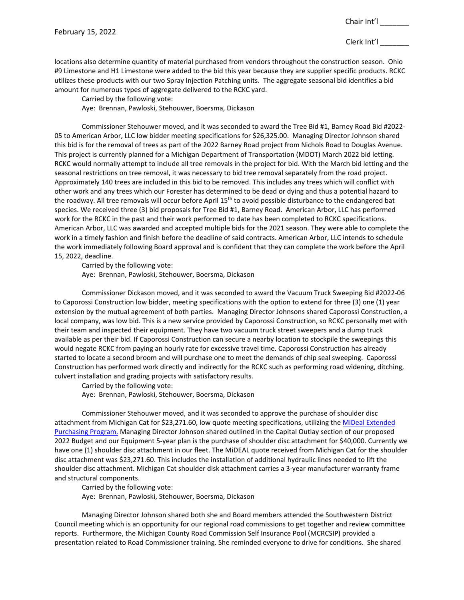locations also determine quantity of material purchased from vendors throughout the construction season. Ohio #9 Limestone and H1 Limestone were added to the bid this year because they are supplier specific products. RCKC utilizes these products with our two Spray Injection Patching units. The aggregate seasonal bid identifies a bid amount for numerous types of aggregate delivered to the RCKC yard.

Carried by the following vote:

Aye: Brennan, Pawloski, Stehouwer, Boersma, Dickason

Commissioner Stehouwer moved, and it was seconded to award the Tree Bid #1, Barney Road Bid #2022- 05 to American Arbor, LLC low bidder meeting specifications for \$26,325.00. Managing Director Johnson shared this bid is for the removal of trees as part of the 2022 Barney Road project from Nichols Road to Douglas Avenue. This project is currently planned for a Michigan Department of Transportation (MDOT) March 2022 bid letting. RCKC would normally attempt to include all tree removals in the project for bid. With the March bid letting and the seasonal restrictions on tree removal, it was necessary to bid tree removal separately from the road project. Approximately 140 trees are included in this bid to be removed. This includes any trees which will conflict with other work and any trees which our Forester has determined to be dead or dying and thus a potential hazard to the roadway. All tree removals will occur before April 15<sup>th</sup> to avoid possible disturbance to the endangered bat species. We received three (3) bid proposals for Tree Bid #1, Barney Road. American Arbor, LLC has performed work for the RCKC in the past and their work performed to date has been completed to RCKC specifications. American Arbor, LLC was awarded and accepted multiple bids for the 2021 season. They were able to complete the work in a timely fashion and finish before the deadline of said contracts. American Arbor, LLC intends to schedule the work immediately following Board approval and is confident that they can complete the work before the April 15, 2022, deadline.

Carried by the following vote:

Aye: Brennan, Pawloski, Stehouwer, Boersma, Dickason

Commissioner Dickason moved, and it was seconded to award the Vacuum Truck Sweeping Bid #2022-06 to Caporossi Construction low bidder, meeting specifications with the option to extend for three (3) one (1) year extension by the mutual agreement of both parties. Managing Director Johnsons shared Caporossi Construction, a local company, was low bid. This is a new service provided by Caporossi Construction, so RCKC personally met with their team and inspected their equipment. They have two vacuum truck street sweepers and a dump truck available as per their bid. If Caporossi Construction can secure a nearby location to stockpile the sweepings this would negate RCKC from paying an hourly rate for excessive travel time. Caporossi Construction has already started to locate a second broom and will purchase one to meet the demands of chip seal sweeping. Caporossi Construction has performed work directly and indirectly for the RCKC such as performing road widening, ditching, culvert installation and grading projects with satisfactory results.

Carried by the following vote: Aye: Brennan, Pawloski, Stehouwer, Boersma, Dickason

Commissioner Stehouwer moved, and it was seconded to approve the purchase of shoulder disc attachment from Michigan Cat for \$23,271.60, low quote meeting specifications, utilizing th[e MiDeal Extended](https://www.michigan.gov/dtmb/procurement/mideal)  [Purchasing Program.](https://www.michigan.gov/dtmb/procurement/mideal) Managing Director Johnson shared outlined in the Capital Outlay section of our proposed 2022 Budget and our Equipment 5-year plan is the purchase of shoulder disc attachment for \$40,000. Currently we have one (1) shoulder disc attachment in our fleet. The MiDEAL quote received from Michigan Cat for the shoulder disc attachment was \$23,271.60. This includes the installation of additional hydraulic lines needed to lift the shoulder disc attachment. Michigan Cat shoulder disk attachment carries a 3-year manufacturer warranty frame and structural components.

Carried by the following vote: Aye: Brennan, Pawloski, Stehouwer, Boersma, Dickason

Managing Director Johnson shared both she and Board members attended the Southwestern District Council meeting which is an opportunity for our regional road commissions to get together and review committee reports. Furthermore, the Michigan County Road Commission Self Insurance Pool (MCRCSIP) provided a presentation related to Road Commissioner training. She reminded everyone to drive for conditions. She shared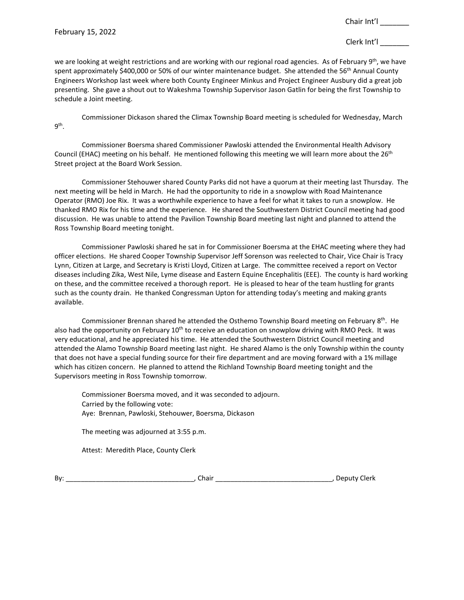we are looking at weight restrictions and are working with our regional road agencies. As of February 9<sup>th</sup>, we have spent approximately \$400,000 or 50% of our winter maintenance budget. She attended the 56<sup>th</sup> Annual County Engineers Workshop last week where both County Engineer Minkus and Project Engineer Ausbury did a great job presenting. She gave a shout out to Wakeshma Township Supervisor Jason Gatlin for being the first Township to schedule a Joint meeting.

Commissioner Dickason shared the Climax Township Board meeting is scheduled for Wednesday, March 9th.

Commissioner Boersma shared Commissioner Pawloski attended the Environmental Health Advisory Council (EHAC) meeting on his behalf. He mentioned following this meeting we will learn more about the 26<sup>th</sup> Street project at the Board Work Session.

Commissioner Stehouwer shared County Parks did not have a quorum at their meeting last Thursday. The next meeting will be held in March. He had the opportunity to ride in a snowplow with Road Maintenance Operator (RMO) Joe Rix. It was a worthwhile experience to have a feel for what it takes to run a snowplow. He thanked RMO Rix for his time and the experience. He shared the Southwestern District Council meeting had good discussion. He was unable to attend the Pavilion Township Board meeting last night and planned to attend the Ross Township Board meeting tonight.

Commissioner Pawloski shared he sat in for Commissioner Boersma at the EHAC meeting where they had officer elections. He shared Cooper Township Supervisor Jeff Sorenson was reelected to Chair, Vice Chair is Tracy Lynn, Citizen at Large, and Secretary is Kristi Lloyd, Citizen at Large. The committee received a report on Vector diseases including Zika, West Nile, Lyme disease and Eastern Equine Encephalitis (EEE). The county is hard working on these, and the committee received a thorough report. He is pleased to hear of the team hustling for grants such as the county drain. He thanked Congressman Upton for attending today's meeting and making grants available.

Commissioner Brennan shared he attended the Osthemo Township Board meeting on February 8<sup>th</sup>. He also had the opportunity on February  $10<sup>th</sup>$  to receive an education on snowplow driving with RMO Peck. It was very educational, and he appreciated his time. He attended the Southwestern District Council meeting and attended the Alamo Township Board meeting last night. He shared Alamo is the only Township within the county that does not have a special funding source for their fire department and are moving forward with a 1% millage which has citizen concern. He planned to attend the Richland Township Board meeting tonight and the Supervisors meeting in Ross Township tomorrow.

Commissioner Boersma moved, and it was seconded to adjourn. Carried by the following vote: Aye: Brennan, Pawloski, Stehouwer, Boersma, Dickason

The meeting was adjourned at 3:55 p.m.

Attest: Meredith Place, County Clerk

By: \_\_\_\_\_\_\_\_\_\_\_\_\_\_\_\_\_\_\_\_\_\_\_\_\_\_\_\_\_\_\_\_\_\_, Chair \_\_\_\_\_\_\_\_\_\_\_\_\_\_\_\_\_\_\_\_\_\_\_\_\_\_\_\_\_\_\_, Deputy Clerk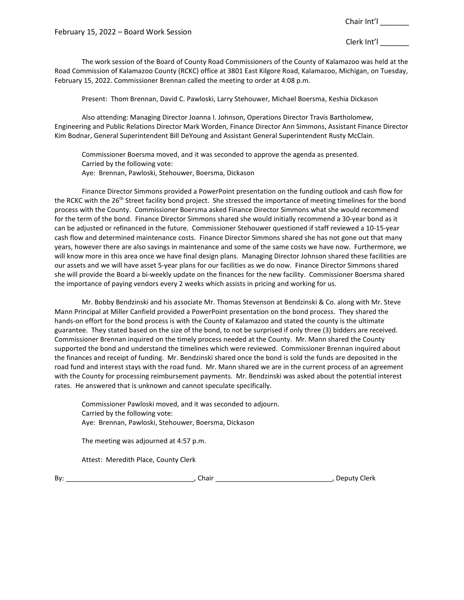February 15, 2022 – Board Work Session

Chair Int'l \_\_\_\_\_\_\_

Clerk Int'l \_\_\_\_\_\_\_

The work session of the Board of County Road Commissioners of the County of Kalamazoo was held at the Road Commission of Kalamazoo County (RCKC) office at 3801 East Kilgore Road, Kalamazoo, Michigan, on Tuesday, February 15, 2022. Commissioner Brennan called the meeting to order at 4:08 p.m.

Present: Thom Brennan, David C. Pawloski, Larry Stehouwer, Michael Boersma, Keshia Dickason

Also attending: Managing Director Joanna I. Johnson, Operations Director Travis Bartholomew, Engineering and Public Relations Director Mark Worden, Finance Director Ann Simmons, Assistant Finance Director Kim Bodnar, General Superintendent Bill DeYoung and Assistant General Superintendent Rusty McClain.

Commissioner Boersma moved, and it was seconded to approve the agenda as presented. Carried by the following vote: Aye: Brennan, Pawloski, Stehouwer, Boersma, Dickason

Finance Director Simmons provided a PowerPoint presentation on the funding outlook and cash flow for the RCKC with the 26<sup>th</sup> Street facility bond project. She stressed the importance of meeting timelines for the bond process with the County. Commissioner Boersma asked Finance Director Simmons what she would recommend for the term of the bond. Finance Director Simmons shared she would initially recommend a 30-year bond as it can be adjusted or refinanced in the future. Commissioner Stehouwer questioned if staff reviewed a 10-15-year cash flow and determined maintenance costs. Finance Director Simmons shared she has not gone out that many years, however there are also savings in maintenance and some of the same costs we have now. Furthermore, we will know more in this area once we have final design plans. Managing Director Johnson shared these facilities are our assets and we will have asset 5-year plans for our facilities as we do now. Finance Director Simmons shared she will provide the Board a bi-weekly update on the finances for the new facility. Commissioner Boersma shared the importance of paying vendors every 2 weeks which assists in pricing and working for us.

Mr. Bobby Bendzinski and his associate Mr. Thomas Stevenson at Bendzinski & Co. along with Mr. Steve Mann Principal at Miller Canfield provided a PowerPoint presentation on the bond process. They shared the hands-on effort for the bond process is with the County of Kalamazoo and stated the county is the ultimate guarantee. They stated based on the size of the bond, to not be surprised if only three (3) bidders are received. Commissioner Brennan inquired on the timely process needed at the County. Mr. Mann shared the County supported the bond and understand the timelines which were reviewed. Commissioner Brennan inquired about the finances and receipt of funding. Mr. Bendzinski shared once the bond is sold the funds are deposited in the road fund and interest stays with the road fund. Mr. Mann shared we are in the current process of an agreement with the County for processing reimbursement payments. Mr. Bendzinski was asked about the potential interest rates. He answered that is unknown and cannot speculate specifically.

Commissioner Pawloski moved, and it was seconded to adjourn. Carried by the following vote: Aye: Brennan, Pawloski, Stehouwer, Boersma, Dickason

The meeting was adjourned at 4:57 p.m.

Attest: Meredith Place, County Clerk

By: \_\_\_\_\_\_\_\_\_\_\_\_\_\_\_\_\_\_\_\_\_\_\_\_\_\_\_\_\_\_\_\_\_\_, Chair \_\_\_\_\_\_\_\_\_\_\_\_\_\_\_\_\_\_\_\_\_\_\_\_\_\_\_\_\_\_\_, Deputy Clerk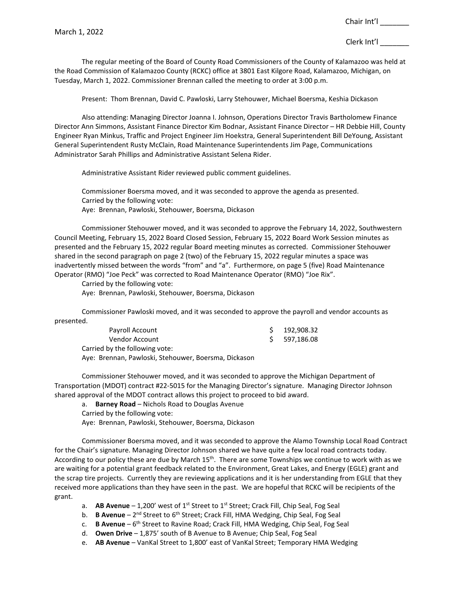The regular meeting of the Board of County Road Commissioners of the County of Kalamazoo was held at the Road Commission of Kalamazoo County (RCKC) office at 3801 East Kilgore Road, Kalamazoo, Michigan, on Tuesday, March 1, 2022. Commissioner Brennan called the meeting to order at 3:00 p.m.

Present: Thom Brennan, David C. Pawloski, Larry Stehouwer, Michael Boersma, Keshia Dickason

Also attending: Managing Director Joanna I. Johnson, Operations Director Travis Bartholomew Finance Director Ann Simmons, Assistant Finance Director Kim Bodnar, Assistant Finance Director – HR Debbie Hill, County Engineer Ryan Minkus, Traffic and Project Engineer Jim Hoekstra, General Superintendent Bill DeYoung, Assistant General Superintendent Rusty McClain, Road Maintenance Superintendents Jim Page, Communications Administrator Sarah Phillips and Administrative Assistant Selena Rider.

Administrative Assistant Rider reviewed public comment guidelines.

Commissioner Boersma moved, and it was seconded to approve the agenda as presented. Carried by the following vote: Aye: Brennan, Pawloski, Stehouwer, Boersma, Dickason

Commissioner Stehouwer moved, and it was seconded to approve the February 14, 2022, Southwestern Council Meeting, February 15, 2022 Board Closed Session, February 15, 2022 Board Work Session minutes as presented and the February 15, 2022 regular Board meeting minutes as corrected. Commissioner Stehouwer shared in the second paragraph on page 2 (two) of the February 15, 2022 regular minutes a space was inadvertently missed between the words "from" and "a". Furthermore, on page 5 (five) Road Maintenance Operator (RMO) "Joe Peck" was corrected to Road Maintenance Operator (RMO) "Joe Rix".

Carried by the following vote:

Aye: Brennan, Pawloski, Stehouwer, Boersma, Dickason

Commissioner Pawloski moved, and it was seconded to approve the payroll and vendor accounts as presented.

| Payroll Account                                  | \$192,908.32  |
|--------------------------------------------------|---------------|
| Vendor Account                                   | \$ 597,186.08 |
| Carried by the following vote:                   |               |
| Aver Pronnan Daulocki Stobouwer Poercma Dickason |               |

Aye: Brennan, Pawloski, Stehouwer, Boersma, Dickason

Commissioner Stehouwer moved, and it was seconded to approve the Michigan Department of Transportation (MDOT) contract #22-5015 for the Managing Director's signature. Managing Director Johnson shared approval of the MDOT contract allows this project to proceed to bid award.

a. **Barney Road** – Nichols Road to Douglas Avenue

Carried by the following vote:

Aye: Brennan, Pawloski, Stehouwer, Boersma, Dickason

Commissioner Boersma moved, and it was seconded to approve the Alamo Township Local Road Contract for the Chair's signature. Managing Director Johnson shared we have quite a few local road contracts today. According to our policy these are due by March 15<sup>th</sup>. There are some Townships we continue to work with as we are waiting for a potential grant feedback related to the Environment, Great Lakes, and Energy (EGLE) grant and the scrap tire projects. Currently they are reviewing applications and it is her understanding from EGLE that they received more applications than they have seen in the past. We are hopeful that RCKC will be recipients of the grant.

a. **AB Avenue** – 1,200' west of 1<sup>st</sup> Street to 1<sup>st</sup> Street; Crack Fill, Chip Seal, Fog Seal

b. **B Avenue** – 2<sup>nd</sup> Street to 6<sup>th</sup> Street; Crack Fill, HMA Wedging, Chip Seal, Fog Seal

c. **B Avenue** – 6<sup>th</sup> Street to Ravine Road; Crack Fill, HMA Wedging, Chip Seal, Fog Seal

d. **Owen Drive** – 1,875' south of B Avenue to B Avenue; Chip Seal, Fog Seal

e. **AB Avenue** – VanKal Street to 1,800' east of VanKal Street; Temporary HMA Wedging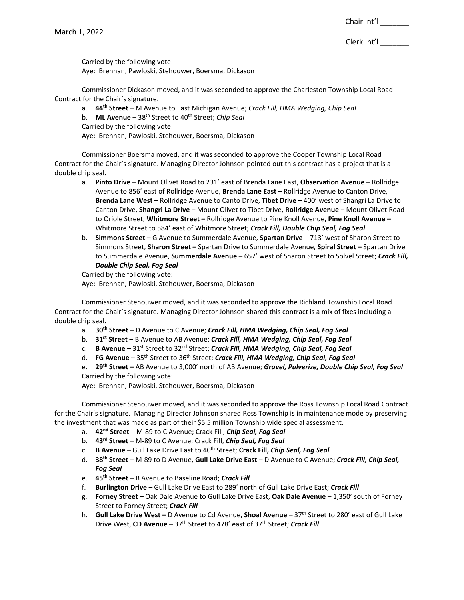Clerk Int'l \_\_\_\_\_\_\_

Carried by the following vote:

Aye: Brennan, Pawloski, Stehouwer, Boersma, Dickason

Commissioner Dickason moved, and it was seconded to approve the Charleston Township Local Road Contract for the Chair's signature.

a. **44th Street** – M Avenue to East Michigan Avenue; *Crack Fill, HMA Wedging, Chip Seal*

b. **ML Avenue** – 38th Street to 40th Street; *Chip Seal*

Carried by the following vote:

Aye: Brennan, Pawloski, Stehouwer, Boersma, Dickason

Commissioner Boersma moved, and it was seconded to approve the Cooper Township Local Road Contract for the Chair's signature. Managing Director Johnson pointed out this contract has a project that is a double chip seal.

- a. **Pinto Drive –** Mount Olivet Road to 231' east of Brenda Lane East, **Observation Avenue –** Rollridge Avenue to 856' east of Rollridge Avenue, **Brenda Lane East –** Rollridge Avenue to Canton Drive, **Brenda Lane West –** Rollridge Avenue to Canto Drive, **Tibet Drive –** 400' west of Shangri La Drive to Canton Drive, **Shangri La Drive –** Mount Olivet to Tibet Drive, **Rollridge Avenue –** Mount Olivet Road to Oriole Street, **Whitmore Street –** Rollridge Avenue to Pine Knoll Avenue, **Pine Knoll Avenue –** Whitmore Street to 584' east of Whitmore Street; *Crack Fill, Double Chip Seal, Fog Seal*
- b. **Simmons Street –** G Avenue to Summerdale Avenue, **Spartan Drive**  713' west of Sharon Street to Simmons Street, **Sharon Street –** Spartan Drive to Summerdale Avenue, **Spiral Street –** Spartan Drive to Summerdale Avenue, **Summerdale Avenue –** 657' west of Sharon Street to Solvel Street; *Crack Fill, Double Chip Seal, Fog Seal*

Carried by the following vote: Aye: Brennan, Pawloski, Stehouwer, Boersma, Dickason

Commissioner Stehouwer moved, and it was seconded to approve the Richland Township Local Road Contract for the Chair's signature. Managing Director Johnson shared this contract is a mix of fixes including a double chip seal.

- a. **30th Street –** D Avenue to C Avenue; *Crack Fill, HMA Wedging, Chip Seal, Fog Seal*
- b. **31st Street –** B Avenue to AB Avenue; *Crack Fill, HMA Wedging, Chip Seal, Fog Seal*
- c. **B Avenue** 31<sup>st</sup> Street to 32<sup>nd</sup> Street; *Crack Fill, HMA Wedging, Chip Seal, Fog Seal*
- d. **FG Avenue –** 35th Street to 36th Street; *Crack Fill, HMA Wedging, Chip Seal, Fog Seal*

e. **29th Street –** AB Avenue to 3,000' north of AB Avenue; *Gravel, Pulverize, Double Chip Seal, Fog Seal* Carried by the following vote:

Aye: Brennan, Pawloski, Stehouwer, Boersma, Dickason

Commissioner Stehouwer moved, and it was seconded to approve the Ross Township Local Road Contract for the Chair's signature. Managing Director Johnson shared Ross Township is in maintenance mode by preserving the investment that was made as part of their \$5.5 million Township wide special assessment.

- a. **42nd Street**  M-89 to C Avenue; Crack Fill, *Chip Seal, Fog Seal*
- b. **43rd Street**  M-89 to C Avenue; Crack Fill, *Chip Seal, Fog Seal*
- c. **B Avenue –** Gull Lake Drive East to 40th Street; **Crack Fill,** *Chip Seal, Fog Seal*
- d. **38th Street –** M-89 to D Avenue, **Gull Lake Drive East –** D Avenue to C Avenue; *Crack Fill, Chip Seal, Fog Seal*
- e. **45th Street –** B Avenue to Baseline Road; *Crack Fill*
- f. **Burlington Drive –** Gull Lake Drive East to 289' north of Gull Lake Drive East; *Crack Fill*
- g. **Forney Street –** Oak Dale Avenue to Gull Lake Drive East, **Oak Dale Avenue** 1,350' south of Forney Street to Forney Street; *Crack Fill*
- h. **Gull Lake Drive West –** D Avenue to Cd Avenue, **Shoal Avenue** 37th Street to 280' east of Gull Lake Drive West, **CD Avenue** *–* 37th Street to 478' east of 37th Street; *Crack Fill*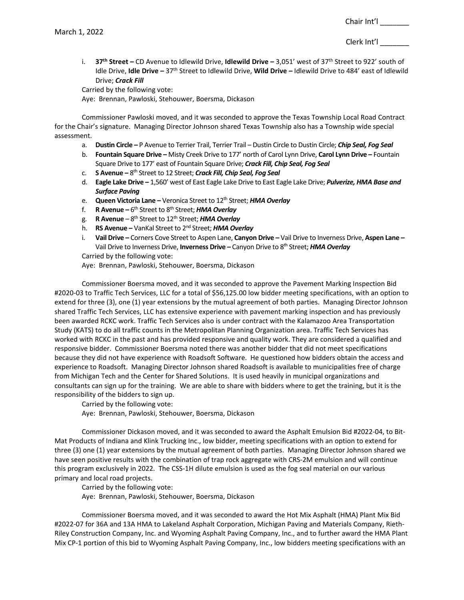i. **37th Street** *–* CD Avenue to Idlewild Drive, **Idlewild Drive** *–* 3,051' west of 37th Street to 922' south of Idle Drive, **Idle Drive** *–* 37th Street to Idlewild Drive, **Wild Drive** *–* Idlewild Drive to 484' east of Idlewild Drive; *Crack Fill*

Carried by the following vote:

Aye: Brennan, Pawloski, Stehouwer, Boersma, Dickason

Commissioner Pawloski moved, and it was seconded to approve the Texas Township Local Road Contract for the Chair's signature. Managing Director Johnson shared Texas Township also has a Township wide special assessment.

- a. **Dustin Circle –** P Avenue to Terrier Trail, Terrier Trail Dustin Circle to Dustin Circle; *Chip Seal, Fog Seal*
- b. **Fountain Square Drive –** Misty Creek Drive to 177' north of Carol Lynn Drive, **Carol Lynn Drive –** Fountain Square Drive to 177' east of Fountain Square Drive; *Crack Fill, Chip Seal, Fog Seal*
- c. **S Avenue –** 8th Street to 12 Street; *Crack Fill, Chip Seal, Fog Seal*
- d. **Eagle Lake Drive –** 1,560' west of East Eagle Lake Drive to East Eagle Lake Drive; *Pulverize, HMA Base and Surface Paving*
- e. **Queen Victoria Lane** Veronica Street to 12<sup>th</sup> Street; *HMA Overlay*
- f. **R Avenue –** 6th Street to 8th Street; *HMA Overlay*
- g. **R Avenue**  8th Street to 12th Street; *HMA Overlay*
- h. **RS Avenue –** VanKal Street to 2nd Street; *HMA Overlay*
- i. **Vail Drive –** Corners Cove Street to Aspen Lane, **Canyon Drive** *–* Vail Drive to Inverness Drive, **Aspen Lane** *–* Vail Drive to Inverness Drive, **Inverness Drive** *–* Canyon Drive to 8th Street; *HMA Overlay* Carried by the following vote:

Aye: Brennan, Pawloski, Stehouwer, Boersma, Dickason

Commissioner Boersma moved, and it was seconded to approve the Pavement Marking Inspection Bid #2020-03 to Traffic Tech Services, LLC for a total of \$56,125.00 low bidder meeting specifications, with an option to extend for three (3), one (1) year extensions by the mutual agreement of both parties. Managing Director Johnson shared Traffic Tech Services, LLC has extensive experience with pavement marking inspection and has previously been awarded RCKC work. Traffic Tech Services also is under contract with the Kalamazoo Area Transportation Study (KATS) to do all traffic counts in the Metropolitan Planning Organization area. Traffic Tech Services has worked with RCKC in the past and has provided responsive and quality work. They are considered a qualified and responsive bidder. Commissioner Boersma noted there was another bidder that did not meet specifications because they did not have experience with Roadsoft Software. He questioned how bidders obtain the access and experience to Roadsoft. Managing Director Johnson shared Roadsoft is available to municipalities free of charge from Michigan Tech and the Center for Shared Solutions. It is used heavily in municipal organizations and consultants can sign up for the training. We are able to share with bidders where to get the training, but it is the responsibility of the bidders to sign up.

Carried by the following vote:

Aye: Brennan, Pawloski, Stehouwer, Boersma, Dickason

Commissioner Dickason moved, and it was seconded to award the Asphalt Emulsion Bid #2022-04, to Bit-Mat Products of Indiana and Klink Trucking Inc., low bidder, meeting specifications with an option to extend for three (3) one (1) year extensions by the mutual agreement of both parties. Managing Director Johnson shared we have seen positive results with the combination of trap rock aggregate with CRS-2M emulsion and will continue this program exclusively in 2022. The CSS-1H dilute emulsion is used as the fog seal material on our various primary and local road projects.

Carried by the following vote: Aye: Brennan, Pawloski, Stehouwer, Boersma, Dickason

Commissioner Boersma moved, and it was seconded to award the Hot Mix Asphalt (HMA) Plant Mix Bid #2022-07 for 36A and 13A HMA to Lakeland Asphalt Corporation, Michigan Paving and Materials Company, Rieth-Riley Construction Company, Inc. and Wyoming Asphalt Paving Company, Inc., and to further award the HMA Plant Mix CP-1 portion of this bid to Wyoming Asphalt Paving Company, Inc., low bidders meeting specifications with an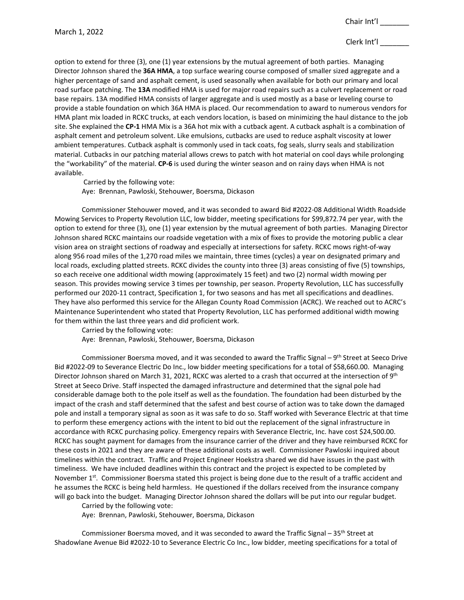option to extend for three (3), one (1) year extensions by the mutual agreement of both parties. Managing Director Johnson shared the **36A HMA**, a top surface wearing course composed of smaller sized aggregate and a higher percentage of sand and asphalt cement, is used seasonally when available for both our primary and local road surface patching. The **13A** modified HMA is used for major road repairs such as a culvert replacement or road base repairs. 13A modified HMA consists of larger aggregate and is used mostly as a base or leveling course to provide a stable foundation on which 36A HMA is placed. Our recommendation to award to numerous vendors for HMA plant mix loaded in RCKC trucks, at each vendors location, is based on minimizing the haul distance to the job site. She explained the **CP-1** HMA Mix is a 36A hot mix with a cutback agent. A cutback asphalt is a combination of asphalt cement and petroleum solvent. Like emulsions, cutbacks are used to reduce asphalt viscosity at lower ambient temperatures. Cutback asphalt is commonly used in tack coats, fog seals, slurry seals and stabilization material. Cutbacks in our patching material allows crews to patch with hot material on cool days while prolonging the "workability" of the material. **CP-6** is used during the winter season and on rainy days when HMA is not available.

Carried by the following vote: Aye: Brennan, Pawloski, Stehouwer, Boersma, Dickason

Commissioner Stehouwer moved, and it was seconded to award Bid #2022-08 Additional Width Roadside Mowing Services to Property Revolution LLC, low bidder, meeting specifications for \$99,872.74 per year, with the option to extend for three (3), one (1) year extension by the mutual agreement of both parties. Managing Director Johnson shared RCKC maintains our roadside vegetation with a mix of fixes to provide the motoring public a clear vision area on straight sections of roadway and especially at intersections for safety. RCKC mows right-of-way along 956 road miles of the 1,270 road miles we maintain, three times (cycles) a year on designated primary and local roads, excluding platted streets. RCKC divides the county into three (3) areas consisting of five (5) townships, so each receive one additional width mowing (approximately 15 feet) and two (2) normal width mowing per season. This provides mowing service 3 times per township, per season. Property Revolution, LLC has successfully performed our 2020-11 contract, Specification 1, for two seasons and has met all specifications and deadlines. They have also performed this service for the Allegan County Road Commission (ACRC). We reached out to ACRC's Maintenance Superintendent who stated that Property Revolution, LLC has performed additional width mowing for them within the last three years and did proficient work.

Carried by the following vote:

Aye: Brennan, Pawloski, Stehouwer, Boersma, Dickason

Commissioner Boersma moved, and it was seconded to award the Traffic Signal – 9<sup>th</sup> Street at Seeco Drive Bid #2022-09 to Severance Electric Do Inc., low bidder meeting specifications for a total of \$58,660.00. Managing Director Johnson shared on March 31, 2021, RCKC was alerted to a crash that occurred at the intersection of 9<sup>th</sup> Street at Seeco Drive. Staff inspected the damaged infrastructure and determined that the signal pole had considerable damage both to the pole itself as well as the foundation. The foundation had been disturbed by the impact of the crash and staff determined that the safest and best course of action was to take down the damaged pole and install a temporary signal as soon as it was safe to do so. Staff worked with Severance Electric at that time to perform these emergency actions with the intent to bid out the replacement of the signal infrastructure in accordance with RCKC purchasing policy. Emergency repairs with Severance Electric, Inc. have cost \$24,500.00. RCKC has sought payment for damages from the insurance carrier of the driver and they have reimbursed RCKC for these costs in 2021 and they are aware of these additional costs as well. Commissioner Pawloski inquired about timelines within the contract. Traffic and Project Engineer Hoekstra shared we did have issues in the past with timeliness. We have included deadlines within this contract and the project is expected to be completed by November 1<sup>st</sup>. Commissioner Boersma stated this project is being done due to the result of a traffic accident and he assumes the RCKC is being held harmless. He questioned if the dollars received from the insurance company will go back into the budget. Managing Director Johnson shared the dollars will be put into our regular budget. Carried by the following vote:

Aye: Brennan, Pawloski, Stehouwer, Boersma, Dickason

Commissioner Boersma moved, and it was seconded to award the Traffic Signal –  $35<sup>th</sup>$  Street at Shadowlane Avenue Bid #2022-10 to Severance Electric Co Inc., low bidder, meeting specifications for a total of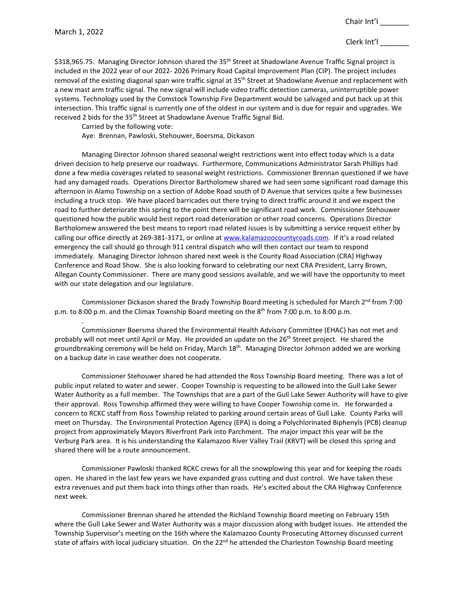.

# Clerk Int'l \_\_\_\_\_\_\_

\$318,965.75. Managing Director Johnson shared the 35<sup>th</sup> Street at Shadowlane Avenue Traffic Signal project is included in the 2022 year of our 2022- 2026 Primary Road Capital Improvement Plan (CIP). The project includes removal of the existing diagonal span wire traffic signal at 35<sup>th</sup> Street at Shadowlane Avenue and replacement with a new mast arm traffic signal. The new signal will include video traffic detection cameras, uninterruptible power systems. Technology used by the Comstock Township Fire Department would be salvaged and put back up at this intersection. This traffic signal is currently one of the oldest in our system and is due for repair and upgrades. We received 2 bids for the 35<sup>th</sup> Street at Shadowlane Avenue Traffic Signal Bid.

Carried by the following vote:

Aye: Brennan, Pawloski, Stehouwer, Boersma, Dickason

Managing Director Johnson shared seasonal weight restrictions went into effect today which is a data driven decision to help preserve our roadways. Furthermore, Communications Administrator Sarah Phillips had done a few media coverages related to seasonal weight restrictions. Commissioner Brennan questioned if we have had any damaged roads. Operations Director Bartholomew shared we had seen some significant road damage this afternoon in Alamo Township on a section of Adobe Road south of D Avenue that services quite a few businesses including a truck stop. We have placed barricades out there trying to direct traffic around it and we expect the road to further deteriorate this spring to the point there will be significant road work. Commissioner Stehouwer questioned how the public would best report road deterioration or other road concerns. Operations Director Bartholomew answered the best means to report road related issues is by submitting a service request either by calling our office directly at 269-381-3171, or online at [www.kalamazoocountyroads.com.](http://www.kalamazoocountyroads.com/) If it's a road related emergency the call should go through 911 central dispatch who will then contact our team to respond immediately. Managing Director Johnson shared next week is the County Road Association (CRA) Highway Conference and Road Show. She is also looking forward to celebrating our next CRA President, Larry Brown, Allegan County Commissioner. There are many good sessions available, and we will have the opportunity to meet with our state delegation and our legislature.

Commissioner Dickason shared the Brady Township Board meeting is scheduled for March  $2^{nd}$  from 7:00 p.m. to 8:00 p.m. and the Climax Township Board meeting on the 8<sup>th</sup> from 7:00 p.m. to 8:00 p.m.

Commissioner Boersma shared the Environmental Health Advisory Committee (EHAC) has not met and probably will not meet until April or May. He provided an update on the 26<sup>th</sup> Street project. He shared the groundbreaking ceremony will be held on Friday, March 18<sup>th</sup>. Managing Director Johnson added we are working on a backup date in case weather does not cooperate.

Commissioner Stehouwer shared he had attended the Ross Township Board meeting. There was a lot of public input related to water and sewer. Cooper Township is requesting to be allowed into the Gull Lake Sewer Water Authority as a full member. The Townships that are a part of the Gull Lake Sewer Authority will have to give their approval. Ross Township affirmed they were willing to have Cooper Township come in. He forwarded a concern to RCKC staff from Ross Township related to parking around certain areas of Gull Lake. County Parks will meet on Thursday. The Environmental Protection Agency (EPA) is doing a Polychlorinated Biphenyls (PCB) cleanup project from approximately Mayors Riverfront Park into Parchment. The major impact this year will be the Verburg Park area. It is his understanding the Kalamazoo River Valley Trail (KRVT) will be closed this spring and shared there will be a route announcement.

Commissioner Pawloski thanked RCKC crews for all the snowplowing this year and for keeping the roads open. He shared in the last few years we have expanded grass cutting and dust control. We have taken these extra revenues and put them back into things other than roads. He's excited about the CRA Highway Conference next week.

Commissioner Brennan shared he attended the Richland Township Board meeting on February 15th where the Gull Lake Sewer and Water Authority was a major discussion along with budget issues. He attended the Township Supervisor's meeting on the 16th where the Kalamazoo County Prosecuting Attorney discussed current state of affairs with local judiciary situation. On the  $22<sup>nd</sup>$  he attended the Charleston Township Board meeting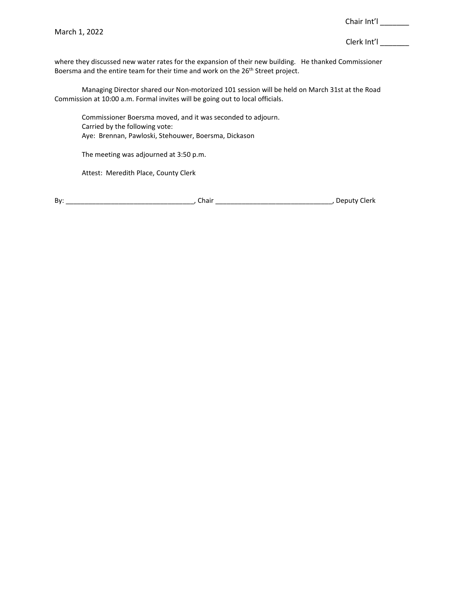where they discussed new water rates for the expansion of their new building. He thanked Commissioner Boersma and the entire team for their time and work on the 26<sup>th</sup> Street project.

Managing Director shared our Non-motorized 101 session will be held on March 31st at the Road Commission at 10:00 a.m. Formal invites will be going out to local officials.

Commissioner Boersma moved, and it was seconded to adjourn. Carried by the following vote: Aye: Brennan, Pawloski, Stehouwer, Boersma, Dickason

The meeting was adjourned at 3:50 p.m.

Attest: Meredith Place, County Clerk

By: \_\_\_\_\_\_\_\_\_\_\_\_\_\_\_\_\_\_\_\_\_\_\_\_\_\_\_\_\_\_\_\_\_\_, Chair \_\_\_\_\_\_\_\_\_\_\_\_\_\_\_\_\_\_\_\_\_\_\_\_\_\_\_\_\_\_\_, Deputy Clerk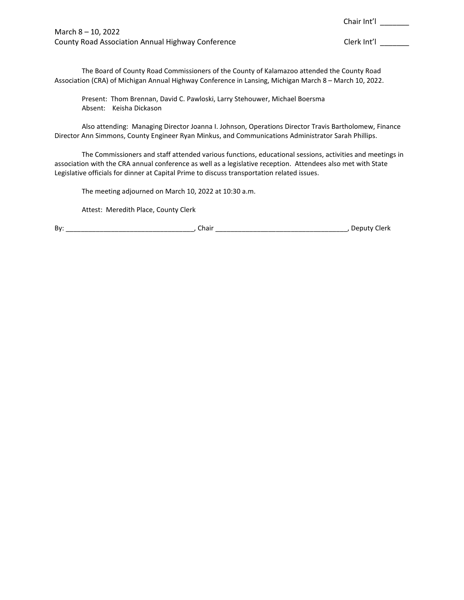March 8 – 10, 2022 County Road Association Annual Highway Conference County Road Clerk Int'l \_\_\_\_\_\_\_

Chair Int'l \_\_\_\_\_\_\_

The Board of County Road Commissioners of the County of Kalamazoo attended the County Road Association (CRA) of Michigan Annual Highway Conference in Lansing, Michigan March 8 – March 10, 2022.

Present: Thom Brennan, David C. Pawloski, Larry Stehouwer, Michael Boersma Absent: Keisha Dickason

Also attending: Managing Director Joanna I. Johnson, Operations Director Travis Bartholomew, Finance Director Ann Simmons, County Engineer Ryan Minkus, and Communications Administrator Sarah Phillips.

The Commissioners and staff attended various functions, educational sessions, activities and meetings in association with the CRA annual conference as well as a legislative reception. Attendees also met with State Legislative officials for dinner at Capital Prime to discuss transportation related issues.

The meeting adjourned on March 10, 2022 at 10:30 a.m.

Attest: Meredith Place, County Clerk

By: \_\_\_\_\_\_\_\_\_\_\_\_\_\_\_\_\_\_\_\_\_\_\_\_\_\_\_\_\_\_\_\_\_\_, Chair \_\_\_\_\_\_\_\_\_\_\_\_\_\_\_\_\_\_\_\_\_\_\_\_\_\_\_\_\_\_\_\_\_\_\_, Deputy Clerk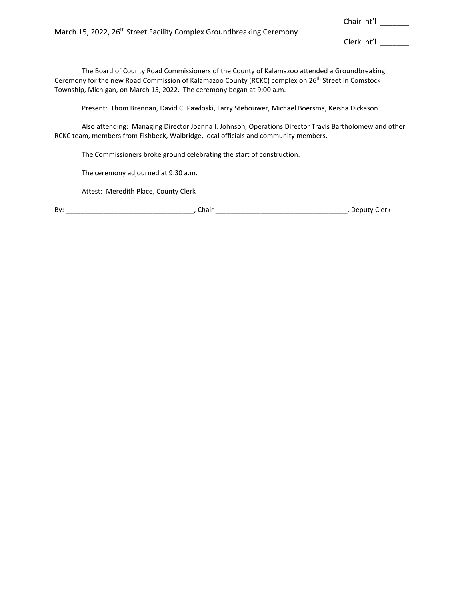March 15, 2022, 26<sup>th</sup> Street Facility Complex Groundbreaking Ceremony

Clerk Int'l \_\_\_\_\_\_\_

Chair Int'l \_\_\_\_\_\_\_

The Board of County Road Commissioners of the County of Kalamazoo attended a Groundbreaking Ceremony for the new Road Commission of Kalamazoo County (RCKC) complex on 26<sup>th</sup> Street in Comstock Township, Michigan, on March 15, 2022. The ceremony began at 9:00 a.m.

Present: Thom Brennan, David C. Pawloski, Larry Stehouwer, Michael Boersma, Keisha Dickason

Also attending: Managing Director Joanna I. Johnson, Operations Director Travis Bartholomew and other RCKC team, members from Fishbeck, Walbridge, local officials and community members.

The Commissioners broke ground celebrating the start of construction.

The ceremony adjourned at 9:30 a.m.

Attest: Meredith Place, County Clerk

| Bv: |  |  |  | חו |
|-----|--|--|--|----|
|-----|--|--|--|----|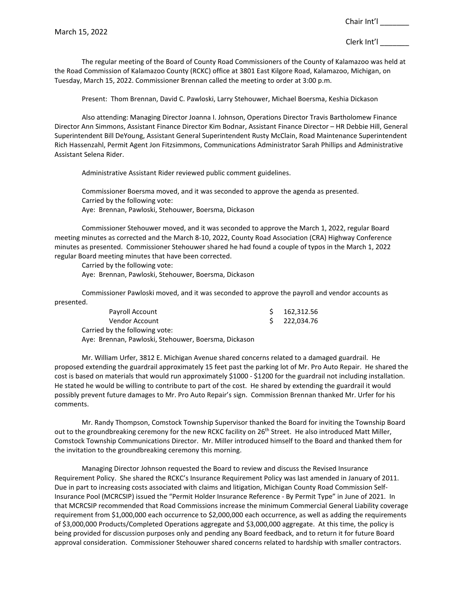The regular meeting of the Board of County Road Commissioners of the County of Kalamazoo was held at the Road Commission of Kalamazoo County (RCKC) office at 3801 East Kilgore Road, Kalamazoo, Michigan, on Tuesday, March 15, 2022. Commissioner Brennan called the meeting to order at 3:00 p.m.

Present: Thom Brennan, David C. Pawloski, Larry Stehouwer, Michael Boersma, Keshia Dickason

Also attending: Managing Director Joanna I. Johnson, Operations Director Travis Bartholomew Finance Director Ann Simmons, Assistant Finance Director Kim Bodnar, Assistant Finance Director – HR Debbie Hill, General Superintendent Bill DeYoung, Assistant General Superintendent Rusty McClain, Road Maintenance Superintendent Rich Hassenzahl, Permit Agent Jon Fitzsimmons, Communications Administrator Sarah Phillips and Administrative Assistant Selena Rider.

Administrative Assistant Rider reviewed public comment guidelines.

Commissioner Boersma moved, and it was seconded to approve the agenda as presented. Carried by the following vote: Aye: Brennan, Pawloski, Stehouwer, Boersma, Dickason

Commissioner Stehouwer moved, and it was seconded to approve the March 1, 2022, regular Board meeting minutes as corrected and the March 8-10, 2022, County Road Association (CRA) Highway Conference minutes as presented. Commissioner Stehouwer shared he had found a couple of typos in the March 1, 2022 regular Board meeting minutes that have been corrected.

Carried by the following vote:

Aye: Brennan, Pawloski, Stehouwer, Boersma, Dickason

Commissioner Pawloski moved, and it was seconded to approve the payroll and vendor accounts as presented.

| Payroll Account                                      | 162,312.56   |
|------------------------------------------------------|--------------|
| Vendor Account                                       | \$222,034.76 |
| Carried by the following vote:                       |              |
| Aye: Brennan, Pawloski, Stehouwer, Boersma, Dickason |              |

Mr. William Urfer, 3812 E. Michigan Avenue shared concerns related to a damaged guardrail. He proposed extending the guardrail approximately 15 feet past the parking lot of Mr. Pro Auto Repair. He shared the cost is based on materials that would run approximately \$1000 - \$1200 for the guardrail not including installation. He stated he would be willing to contribute to part of the cost. He shared by extending the guardrail it would possibly prevent future damages to Mr. Pro Auto Repair's sign. Commission Brennan thanked Mr. Urfer for his comments.

Mr. Randy Thompson, Comstock Township Supervisor thanked the Board for inviting the Township Board out to the groundbreaking ceremony for the new RCKC facility on 26<sup>th</sup> Street. He also introduced Matt Miller, Comstock Township Communications Director. Mr. Miller introduced himself to the Board and thanked them for the invitation to the groundbreaking ceremony this morning.

Managing Director Johnson requested the Board to review and discuss the Revised Insurance Requirement Policy. She shared the RCKC's Insurance Requirement Policy was last amended in January of 2011. Due in part to increasing costs associated with claims and litigation, Michigan County Road Commission Self-Insurance Pool (MCRCSIP) issued the "Permit Holder Insurance Reference - By Permit Type" in June of 2021. In that MCRCSIP recommended that Road Commissions increase the minimum Commercial General Liability coverage requirement from \$1,000,000 each occurrence to \$2,000,000 each occurrence, as well as adding the requirements of \$3,000,000 Products/Completed Operations aggregate and \$3,000,000 aggregate. At this time, the policy is being provided for discussion purposes only and pending any Board feedback, and to return it for future Board approval consideration. Commissioner Stehouwer shared concerns related to hardship with smaller contractors.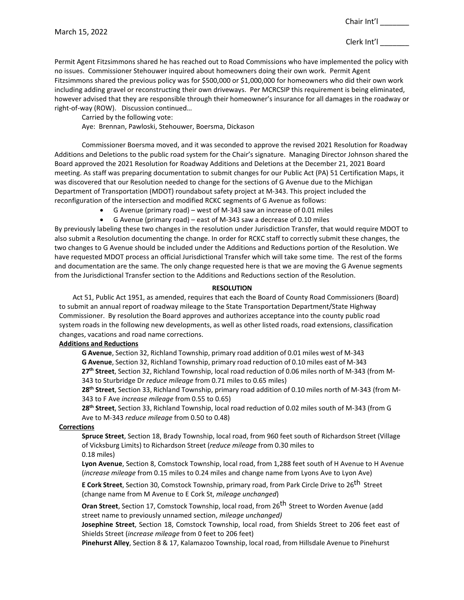Permit Agent Fitzsimmons shared he has reached out to Road Commissions who have implemented the policy with no issues. Commissioner Stehouwer inquired about homeowners doing their own work. Permit Agent Fitzsimmons shared the previous policy was for \$500,000 or \$1,000,000 for homeowners who did their own work including adding gravel or reconstructing their own driveways. Per MCRCSIP this requirement is being eliminated, however advised that they are responsible through their homeowner's insurance for all damages in the roadway or right-of-way (ROW). Discussion continued…

Carried by the following vote:

Aye: Brennan, Pawloski, Stehouwer, Boersma, Dickason

Commissioner Boersma moved, and it was seconded to approve the revised 2021 Resolution for Roadway Additions and Deletions to the public road system for the Chair's signature. Managing Director Johnson shared the Board approved the 2021 Resolution for Roadway Additions and Deletions at the December 21, 2021 Board meeting. As staff was preparing documentation to submit changes for our Public Act (PA) 51 Certification Maps, it was discovered that our Resolution needed to change for the sections of G Avenue due to the Michigan Department of Transportation (MDOT) roundabout safety project at M-343. This project included the reconfiguration of the intersection and modified RCKC segments of G Avenue as follows:

- G Avenue (primary road) west of M-343 saw an increase of 0.01 miles
- G Avenue (primary road) east of M-343 saw a decrease of 0.10 miles

By previously labeling these two changes in the resolution under Jurisdiction Transfer, that would require MDOT to also submit a Resolution documenting the change. In order for RCKC staff to correctly submit these changes, the two changes to G Avenue should be included under the Additions and Reductions portion of the Resolution. We have requested MDOT process an official Jurisdictional Transfer which will take some time. The rest of the forms and documentation are the same. The only change requested here is that we are moving the G Avenue segments from the Jurisdictional Transfer section to the Additions and Reductions section of the Resolution.

### **RESOLUTION**

Act 51, Public Act 1951, as amended, requires that each the Board of County Road Commissioners (Board) to submit an annual report of roadway mileage to the State Transportation Department/State Highway Commissioner. By resolution the Board approves and authorizes acceptance into the county public road system roads in the following new developments, as well as other listed roads, road extensions, classification changes, vacations and road name corrections.

# **Additions and Reductions**

**G Avenue**, Section 32, Richland Township, primary road addition of 0.01 miles west of M-343 **G Avenue**, Section 32, Richland Township, primary road reduction of 0.10 miles east of M-343 **27th Street**, Section 32, Richland Township, local road reduction of 0.06 miles north of M-343 (from M-

343 to Sturbridge Dr *reduce mileage* from 0.71 miles to 0.65 miles)

**28th Street**, Section 33, Richland Township, primary road addition of 0.10 miles north of M-343 (from M-343 to F Ave *increase mileage* from 0.55 to 0.65)

**28th Street**, Section 33, Richland Township, local road reduction of 0.02 miles south of M-343 (from G Ave to M-343 *reduce mileage* from 0.50 to 0.48)

# **Corrections**

**Spruce Street**, Section 18, Brady Township, local road, from 960 feet south of Richardson Street (Village of Vicksburg Limits) to Richardson Street (*reduce mileage* from 0.30 miles to 0.18 miles)

**Lyon Avenue**, Section 8, Comstock Township, local road, from 1,288 feet south of H Avenue to H Avenue (*increase mileage* from 0.15 miles to 0.24 miles and change name from Lyons Ave to Lyon Ave)

**E Cork Street**, Section 30, Comstock Township, primary road, from Park Circle Drive to 26th Street (change name from M Avenue to E Cork St, *mileage unchanged*)

**Oran Street**, Section 17, Comstock Township, local road, from 26th Street to Worden Avenue (add street name to previously unnamed section, *mileage unchanged)*

**Josephine Street**, Section 18, Comstock Township, local road, from Shields Street to 206 feet east of Shields Street (*increase mileage* from 0 feet to 206 feet)

**Pinehurst Alley**, Section 8 & 17, Kalamazoo Township, local road, from Hillsdale Avenue to Pinehurst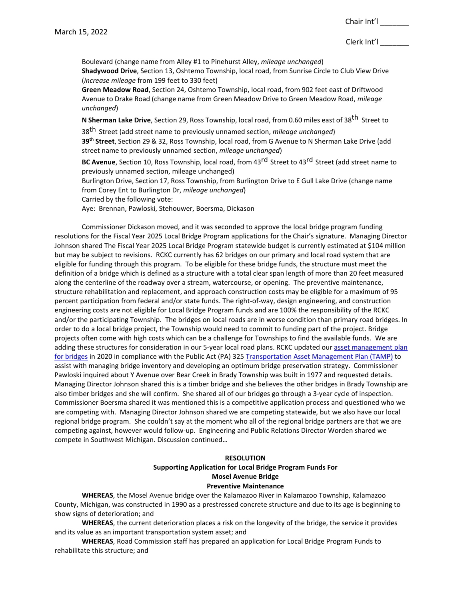Clerk Int'l \_\_\_\_\_\_\_

Boulevard (change name from Alley #1 to Pinehurst Alley, *mileage unchanged*) **Shadywood Drive**, Section 13, Oshtemo Township, local road, from Sunrise Circle to Club View Drive (*increase mileage* from 199 feet to 330 feet)

**Green Meadow Road**, Section 24, Oshtemo Township, local road, from 902 feet east of Driftwood Avenue to Drake Road (change name from Green Meadow Drive to Green Meadow Road, *mileage unchanged*)

**N Sherman Lake Drive**, Section 29, Ross Township, local road, from 0.60 miles east of 38th Street to

38th Street (add street name to previously unnamed section, *mileage unchanged*) **39th Street**, Section 29 & 32, Ross Township, local road, from G Avenue to N Sherman Lake Drive (add street name to previously unnamed section, *mileage unchanged*)

**BC Avenue**, Section 10, Ross Township, local road, from 43rd Street to 43rd Street (add street name to previously unnamed section, mileage unchanged)

Burlington Drive, Section 17, Ross Township, from Burlington Drive to E Gull Lake Drive (change name from Corey Ent to Burlington Dr, *mileage unchanged*)

Carried by the following vote:

Aye: Brennan, Pawloski, Stehouwer, Boersma, Dickason

Commissioner Dickason moved, and it was seconded to approve the local bridge program funding resolutions for the Fiscal Year 2025 Local Bridge Program applications for the Chair's signature. Managing Director Johnson shared The Fiscal Year 2025 Local Bridge Program statewide budget is currently estimated at \$104 million but may be subject to revisions. RCKC currently has 62 bridges on our primary and local road system that are eligible for funding through this program. To be eligible for these bridge funds, the structure must meet the definition of a bridge which is defined as a structure with a total clear span length of more than 20 feet measured along the centerline of the roadway over a stream, watercourse, or opening. The preventive maintenance, structure rehabilitation and replacement, and approach construction costs may be eligible for a maximum of 95 percent participation from federal and/or state funds. The right-of-way, design engineering, and construction engineering costs are not eligible for Local Bridge Program funds and are 100% the responsibility of the RCKC and/or the participating Township. The bridges on local roads are in worse condition than primary road bridges. In order to do a local bridge project, the Township would need to commit to funding part of the project. Bridge projects often come with high costs which can be a challenge for Townships to find the available funds. We are adding these structures for consideration in our 5-year local road plans. RCKC updated our asset management plan [for bridges](http://www.kalamazoocountyroads.com/userfiles/kcrc/file/Asset%20Management/Bridge%20Asset%20Management__2017_final.pdf) in 2020 in compliance with the Public Act (PA) 32[5 Transportation Asset Management Plan \(TAMP\)](https://www.kalamazoocountyroads.com/userfiles/kcrc/file/Asset%20Management/RCKC%20Compliance%20Pavement%20and%20Bridge%20Asset%20Management%20Plans%202020.pdf) to assist with managing bridge inventory and developing an optimum bridge preservation strategy. Commissioner Pawloski inquired about Y Avenue over Bear Creek in Brady Township was built in 1977 and requested details. Managing Director Johnson shared this is a timber bridge and she believes the other bridges in Brady Township are also timber bridges and she will confirm. She shared all of our bridges go through a 3-year cycle of inspection. Commissioner Boersma shared it was mentioned this is a competitive application process and questioned who we are competing with. Managing Director Johnson shared we are competing statewide, but we also have our local regional bridge program. She couldn't say at the moment who all of the regional bridge partners are that we are competing against, however would follow-up. Engineering and Public Relations Director Worden shared we compete in Southwest Michigan. Discussion continued…

#### **RESOLUTION**

# **Supporting Application for Local Bridge Program Funds For Mosel Avenue Bridge**

### **Preventive Maintenance**

**WHEREAS**, the Mosel Avenue bridge over the Kalamazoo River in Kalamazoo Township, Kalamazoo County, Michigan, was constructed in 1990 as a prestressed concrete structure and due to its age is beginning to show signs of deterioration; and

**WHEREAS**, the current deterioration places a risk on the longevity of the bridge, the service it provides and its value as an important transportation system asset; and

**WHEREAS**, Road Commission staff has prepared an application for Local Bridge Program Funds to rehabilitate this structure; and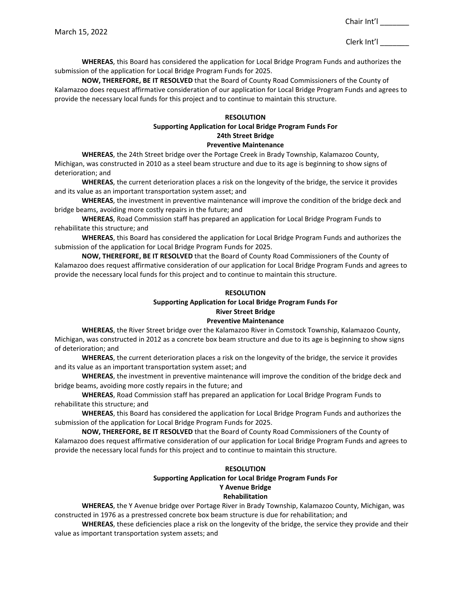Clerk Int'l \_\_\_\_\_\_\_

**WHEREAS**, this Board has considered the application for Local Bridge Program Funds and authorizes the submission of the application for Local Bridge Program Funds for 2025.

**NOW, THEREFORE, BE IT RESOLVED** that the Board of County Road Commissioners of the County of Kalamazoo does request affirmative consideration of our application for Local Bridge Program Funds and agrees to provide the necessary local funds for this project and to continue to maintain this structure.

#### **RESOLUTION**

# **Supporting Application for Local Bridge Program Funds For 24th Street Bridge**

#### **Preventive Maintenance**

**WHEREAS**, the 24th Street bridge over the Portage Creek in Brady Township, Kalamazoo County, Michigan, was constructed in 2010 as a steel beam structure and due to its age is beginning to show signs of deterioration; and

**WHEREAS**, the current deterioration places a risk on the longevity of the bridge, the service it provides and its value as an important transportation system asset; and

**WHEREAS**, the investment in preventive maintenance will improve the condition of the bridge deck and bridge beams, avoiding more costly repairs in the future; and

**WHEREAS**, Road Commission staff has prepared an application for Local Bridge Program Funds to rehabilitate this structure; and

**WHEREAS**, this Board has considered the application for Local Bridge Program Funds and authorizes the submission of the application for Local Bridge Program Funds for 2025.

**NOW, THEREFORE, BE IT RESOLVED** that the Board of County Road Commissioners of the County of Kalamazoo does request affirmative consideration of our application for Local Bridge Program Funds and agrees to provide the necessary local funds for this project and to continue to maintain this structure.

### **RESOLUTION**

### **Supporting Application for Local Bridge Program Funds For River Street Bridge**

#### **Preventive Maintenance**

**WHEREAS**, the River Street bridge over the Kalamazoo River in Comstock Township, Kalamazoo County, Michigan, was constructed in 2012 as a concrete box beam structure and due to its age is beginning to show signs of deterioration; and

**WHEREAS**, the current deterioration places a risk on the longevity of the bridge, the service it provides and its value as an important transportation system asset; and

**WHEREAS**, the investment in preventive maintenance will improve the condition of the bridge deck and bridge beams, avoiding more costly repairs in the future; and

**WHEREAS**, Road Commission staff has prepared an application for Local Bridge Program Funds to rehabilitate this structure; and

**WHEREAS**, this Board has considered the application for Local Bridge Program Funds and authorizes the submission of the application for Local Bridge Program Funds for 2025.

**NOW, THEREFORE, BE IT RESOLVED** that the Board of County Road Commissioners of the County of Kalamazoo does request affirmative consideration of our application for Local Bridge Program Funds and agrees to provide the necessary local funds for this project and to continue to maintain this structure.

# **RESOLUTION**

# **Supporting Application for Local Bridge Program Funds For Y Avenue Bridge**

#### **Rehabilitation**

**WHEREAS**, the Y Avenue bridge over Portage River in Brady Township, Kalamazoo County, Michigan, was constructed in 1976 as a prestressed concrete box beam structure is due for rehabilitation; and

**WHEREAS**, these deficiencies place a risk on the longevity of the bridge, the service they provide and their value as important transportation system assets; and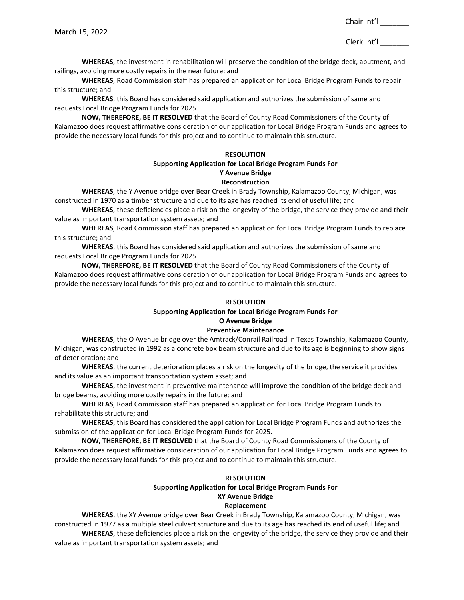Clerk Int'l \_\_\_\_\_\_\_

**WHEREAS**, the investment in rehabilitation will preserve the condition of the bridge deck, abutment, and railings, avoiding more costly repairs in the near future; and

**WHEREAS**, Road Commission staff has prepared an application for Local Bridge Program Funds to repair this structure; and

**WHEREAS**, this Board has considered said application and authorizes the submission of same and requests Local Bridge Program Funds for 2025.

**NOW, THEREFORE, BE IT RESOLVED** that the Board of County Road Commissioners of the County of Kalamazoo does request affirmative consideration of our application for Local Bridge Program Funds and agrees to provide the necessary local funds for this project and to continue to maintain this structure.

### **RESOLUTION Supporting Application for Local Bridge Program Funds For**

# **Y Avenue Bridge Reconstruction**

**WHEREAS**, the Y Avenue bridge over Bear Creek in Brady Township, Kalamazoo County, Michigan, was constructed in 1970 as a timber structure and due to its age has reached its end of useful life; and

**WHEREAS**, these deficiencies place a risk on the longevity of the bridge, the service they provide and their value as important transportation system assets; and

**WHEREAS**, Road Commission staff has prepared an application for Local Bridge Program Funds to replace this structure; and

**WHEREAS**, this Board has considered said application and authorizes the submission of same and requests Local Bridge Program Funds for 2025.

**NOW, THEREFORE, BE IT RESOLVED** that the Board of County Road Commissioners of the County of Kalamazoo does request affirmative consideration of our application for Local Bridge Program Funds and agrees to provide the necessary local funds for this project and to continue to maintain this structure.

# **RESOLUTION**

# **Supporting Application for Local Bridge Program Funds For O Avenue Bridge**

# **Preventive Maintenance**

**WHEREAS**, the O Avenue bridge over the Amtrack/Conrail Railroad in Texas Township, Kalamazoo County, Michigan, was constructed in 1992 as a concrete box beam structure and due to its age is beginning to show signs of deterioration; and

**WHEREAS**, the current deterioration places a risk on the longevity of the bridge, the service it provides and its value as an important transportation system asset; and

**WHEREAS**, the investment in preventive maintenance will improve the condition of the bridge deck and bridge beams, avoiding more costly repairs in the future; and

**WHEREAS**, Road Commission staff has prepared an application for Local Bridge Program Funds to rehabilitate this structure; and

**WHEREAS**, this Board has considered the application for Local Bridge Program Funds and authorizes the submission of the application for Local Bridge Program Funds for 2025.

**NOW, THEREFORE, BE IT RESOLVED** that the Board of County Road Commissioners of the County of Kalamazoo does request affirmative consideration of our application for Local Bridge Program Funds and agrees to provide the necessary local funds for this project and to continue to maintain this structure.

# **RESOLUTION**

# **Supporting Application for Local Bridge Program Funds For XY Avenue Bridge Replacement**

**WHEREAS**, the XY Avenue bridge over Bear Creek in Brady Township, Kalamazoo County, Michigan, was constructed in 1977 as a multiple steel culvert structure and due to its age has reached its end of useful life; and **WHEREAS**, these deficiencies place a risk on the longevity of the bridge, the service they provide and their value as important transportation system assets; and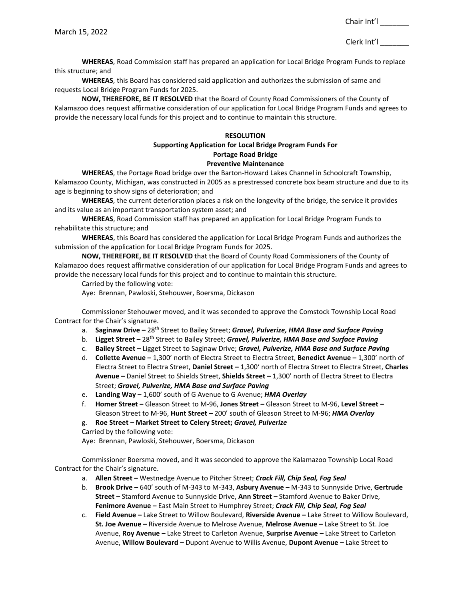**WHEREAS**, Road Commission staff has prepared an application for Local Bridge Program Funds to replace this structure; and

**WHEREAS**, this Board has considered said application and authorizes the submission of same and requests Local Bridge Program Funds for 2025.

**NOW, THEREFORE, BE IT RESOLVED** that the Board of County Road Commissioners of the County of Kalamazoo does request affirmative consideration of our application for Local Bridge Program Funds and agrees to provide the necessary local funds for this project and to continue to maintain this structure.

### **RESOLUTION**

#### **Supporting Application for Local Bridge Program Funds For Portage Road Bridge**

### **Preventive Maintenance**

**WHEREAS**, the Portage Road bridge over the Barton-Howard Lakes Channel in Schoolcraft Township, Kalamazoo County, Michigan, was constructed in 2005 as a prestressed concrete box beam structure and due to its age is beginning to show signs of deterioration; and

**WHEREAS**, the current deterioration places a risk on the longevity of the bridge, the service it provides and its value as an important transportation system asset; and

**WHEREAS**, Road Commission staff has prepared an application for Local Bridge Program Funds to rehabilitate this structure; and

**WHEREAS**, this Board has considered the application for Local Bridge Program Funds and authorizes the submission of the application for Local Bridge Program Funds for 2025.

**NOW, THEREFORE, BE IT RESOLVED** that the Board of County Road Commissioners of the County of Kalamazoo does request affirmative consideration of our application for Local Bridge Program Funds and agrees to provide the necessary local funds for this project and to continue to maintain this structure.

Carried by the following vote:

Aye: Brennan, Pawloski, Stehouwer, Boersma, Dickason

Commissioner Stehouwer moved, and it was seconded to approve the Comstock Township Local Road Contract for the Chair's signature.

- a. **Saginaw Drive –** 28th Street to Bailey Street; *Gravel, Pulverize, HMA Base and Surface Paving*
- b. **Ligget Street –** 28th Street to Bailey Street; *Gravel, Pulverize, HMA Base and Surface Paving*
- c. **Bailey Street –** Ligget Street to Saginaw Drive; *Gravel, Pulverize, HMA Base and Surface Paving*
- d. **Collette Avenue –** 1,300' north of Electra Street to Electra Street, **Benedict Avenue –** 1,300' north of Electra Street to Electra Street, **Daniel Street –** 1,300' north of Electra Street to Electra Street, **Charles Avenue –** Daniel Street to Shields Street, **Shields Street –** 1,300' north of Electra Street to Electra Street; *Gravel, Pulverize, HMA Base and Surface Paving*
- e. **Landing Way –** 1,600' south of G Avenue to G Avenue; *HMA Overlay*
- f. **Homer Street –** Gleason Street to M-96, **Jones Street** *–* Gleason Street to M-96, **Level Street** *–* Gleason Street to M-96, **Hunt Street** *–* 200' south of Gleason Street to M-96; *HMA Overlay*
- g. **Roe Street** *–* **Market Street to Celery Street;** *Gravel, Pulverize*
- Carried by the following vote:

Aye: Brennan, Pawloski, Stehouwer, Boersma, Dickason

Commissioner Boersma moved, and it was seconded to approve the Kalamazoo Township Local Road Contract for the Chair's signature.

- a. **Allen Street –** Westnedge Avenue to Pitcher Street; *Crack Fill, Chip Seal, Fog Seal*
- b. **Brook Drive –** 640' south of M-343 to M-343, **Asbury Avenue –** M-343 to Sunnyside Drive, **Gertrude Street –** Stamford Avenue to Sunnyside Drive, **Ann Street –** Stamford Avenue to Baker Drive, **Fenimore Avenue –** East Main Street to Humphrey Street; *Crack Fill, Chip Seal, Fog Seal*
- c. **Field Avenue –** Lake Street to Willow Boulevard, **Riverside Avenue** *–* Lake Street to Willow Boulevard, **St. Joe Avenue** *–* Riverside Avenue to Melrose Avenue, **Melrose Avenue** *–* Lake Street to St. Joe Avenue, **Roy Avenue** *–* Lake Street to Carleton Avenue, **Surprise Avenue** *–* Lake Street to Carleton Avenue, **Willow Boulevard** *–* Dupont Avenue to Willis Avenue, **Dupont Avenue** *–* Lake Street to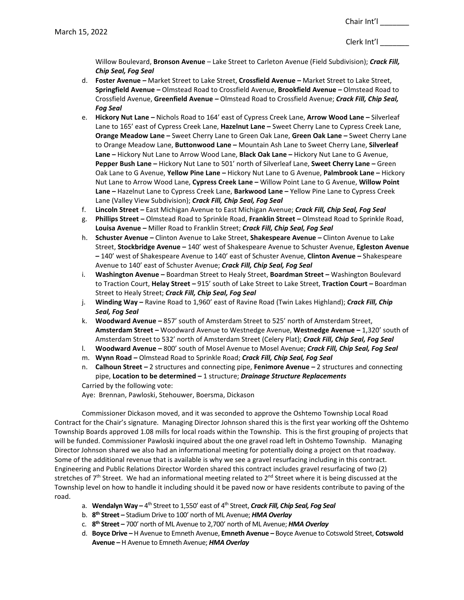Willow Boulevard, **Bronson Avenue** *–* Lake Street to Carleton Avenue (Field Subdivision); *Crack Fill, Chip Seal, Fog Seal*

- d. **Foster Avenue** *–* Market Street to Lake Street, **Crossfield Avenue** *–* Market Street to Lake Street, **Springfield Avenue** *–* Olmstead Road to Crossfield Avenue, **Brookfield Avenue** *–* Olmstead Road to Crossfield Avenue, **Greenfield Avenue** *–* Olmstead Road to Crossfield Avenue; *Crack Fill, Chip Seal, Fog Seal*
- e. **Hickory Nut Lane** *–* Nichols Road to 164' east of Cypress Creek Lane, **Arrow Wood Lane –** Silverleaf Lane to 165' east of Cypress Creek Lane, **Hazelnut Lane –** Sweet Cherry Lane to Cypress Creek Lane, **Orange Meadow Lane –** Sweet Cherry Lane to Green Oak Lane, **Green Oak Lane –** Sweet Cherry Lane to Orange Meadow Lane, **Buttonwood Lane –** Mountain Ash Lane to Sweet Cherry Lane, **Silverleaf Lane –** Hickory Nut Lane to Arrow Wood Lane, **Black Oak Lane –** Hickory Nut Lane to G Avenue, **Pepper Bush Lane –** Hickory Nut Lane to 501' north of Silverleaf Lane, **Sweet Cherry Lane –** Green Oak Lane to G Avenue, **Yellow Pine Lane –** Hickory Nut Lane to G Avenue, **Palmbrook Lane –** Hickory Nut Lane to Arrow Wood Lane, **Cypress Creek Lane –** Willow Point Lane to G Avenue, **Willow Point Lane –** Hazelnut Lane to Cypress Creek Lane, **Barkwood Lane –** Yellow Pine Lane to Cypress Creek Lane (Valley View Subdivision); *Crack Fill, Chip Seal, Fog Seal*
- f. **Lincoln Street** *–* East Michigan Avenue to East Michigan Avenue; *Crack Fill, Chip Seal, Fog Seal*
- g. **Phillips Street** *–* Olmstead Road to Sprinkle Road, **Franklin Street** *–* Olmstead Road to Sprinkle Road, **Louisa Avenue** *–* Miller Road to Franklin Street; *Crack Fill, Chip Seal, Fog Seal*
- h. **Schuster Avenue** *–* Clinton Avenue to Lake Street, **Shakespeare Avenue** *–* Clinton Avenue to Lake Street, **Stockbridge Avenue** *–* 140' west of Shakespeare Avenue to Schuster Avenue, **Egleston Avenue** *–* 140' west of Shakespeare Avenue to 140' east of Schuster Avenue, **Clinton Avenue** *–* Shakespeare Avenue to 140' east of Schuster Avenue; *Crack Fill, Chip Seal, Fog Seal*
- i. **Washington Avenue** *–* Boardman Street to Healy Street, **Boardman Street** *–* Washington Boulevard to Traction Court, **Helay Street** *–* 915' south of Lake Street to Lake Street, **Traction Court** *–* Boardman Street to Healy Street; *Crack Fill, Chip Seal, Fog Seal*
- j. **Winding Way** *–* Ravine Road to 1,960' east of Ravine Road (Twin Lakes Highland); *Crack Fill, Chip Seal, Fog Seal*
- k. **Woodward Avenue** *–* 857' south of Amsterdam Street to 525' north of Amsterdam Street, **Amsterdam Street** *–* Woodward Avenue to Westnedge Avenue, **Westnedge Avenue** *–* 1,320' south of Amsterdam Street to 532' north of Amsterdam Street (Celery Plat); *Crack Fill, Chip Seal, Fog Seal*
- l. **Woodward Avenue** *–* 800' south of Mosel Avenue to Mosel Avenue; *Crack Fill, Chip Seal, Fog Seal*
- m. **Wynn Road** *–* Olmstead Road to Sprinkle Road; *Crack Fill, Chip Seal, Fog Seal*
- n. **Calhoun Street** *–* 2 structures and connecting pipe, **Fenimore Avenue** *–* 2 structures and connecting pipe, **Location to be determined** *–* 1 structure; *Drainage Structure Replacements*

Carried by the following vote: Aye: Brennan, Pawloski, Stehouwer, Boersma, Dickason

Commissioner Dickason moved, and it was seconded to approve the Oshtemo Township Local Road Contract for the Chair's signature. Managing Director Johnson shared this is the first year working off the Oshtemo Township Boards approved 1.08 mills for local roads within the Township. This is the first grouping of projects that will be funded. Commissioner Pawloski inquired about the one gravel road left in Oshtemo Township. Managing Director Johnson shared we also had an informational meeting for potentially doing a project on that roadway. Some of the additional revenue that is available is why we see a gravel resurfacing including in this contract. Engineering and Public Relations Director Worden shared this contract includes gravel resurfacing of two (2) stretches of 7<sup>th</sup> Street. We had an informational meeting related to  $2^{nd}$  Street where it is being discussed at the Township level on how to handle it including should it be paved now or have residents contribute to paving of the road.

- a. **Wendalyn Way –** 4th Street to 1,550' east of 4th Street, *Crack Fill, Chip Seal, Fog Seal*
- b. **8th Street –** Stadium Drive to 100' north of ML Avenue; *HMA Overlay*
- c. **8th Street –** 700' north of ML Avenue to 2,700' north of ML Avenue; *HMA Overlay*
- d. **Boyce Drive –** H Avenue to Emneth Avenue, **Emneth Avenue –** Boyce Avenue to Cotswold Street, **Cotswold Avenue –** H Avenue to Emneth Avenue; *HMA Overlay*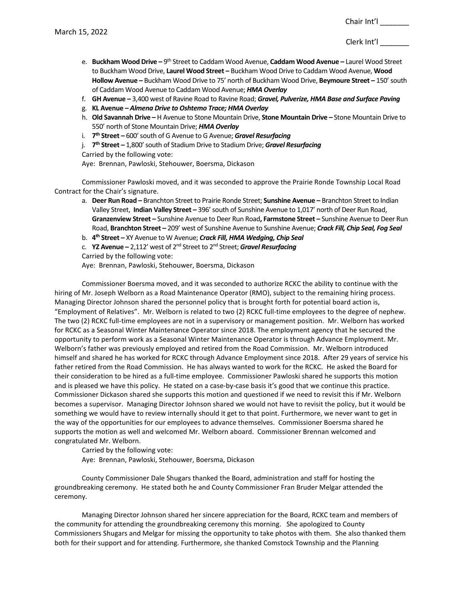- e. **Buckham Wood Drive –** 9th Street to Caddam Wood Avenue, **Caddam Wood Avenue –** Laurel Wood Street to Buckham Wood Drive, **Laurel Wood Street –** Buckham Wood Drive to Caddam Wood Avenue, **Wood Hollow Avenue –** Buckham Wood Drive to 75' north of Buckham Wood Drive, **Beymoure Street –** 150' south of Caddam Wood Avenue to Caddam Wood Avenue; *HMA Overlay*
- f. **GH Avenue –** 3,400 west of Ravine Road to Ravine Road; *Gravel, Pulverize, HMA Base and Surface Paving*
- g. **KL Avenue –** *Almena Drive to Oshtemo Trace; HMA Overlay*
- h. **Old Savannah Drive –** H Avenue to Stone Mountain Drive, **Stone Mountain Drive** *–* Stone Mountain Drive to 550' north of Stone Mountain Drive; *HMA Overlay*
- i. **7th Street** *–* 600' south of G Avenue to G Avenue; *Gravel Resurfacing*
- j. **7th Street** *–* 1,800' south of Stadium Drive to Stadium Drive; *Gravel Resurfacing*
- Carried by the following vote:

Aye: Brennan, Pawloski, Stehouwer, Boersma, Dickason

Commissioner Pawloski moved, and it was seconded to approve the Prairie Ronde Township Local Road Contract for the Chair's signature.

a. **Deer Run Road –** Branchton Street to Prairie Ronde Street; **Sunshine Avenue –** Branchton Street to Indian Valley Street, **Indian Valley Street –** 396' south of Sunshine Avenue to 1,017' north of Deer Run Road, **Granzenview Street –** Sunshine Avenue to Deer Run Road**, Farmstone Street –** Sunshine Avenue to Deer Run Road, **Branchton Street –** 209' west of Sunshine Avenue to Sunshine Avenue; *Crack Fill, Chip Seal, Fog Seal*

b. **4th Street –** XY Avenue to W Avenue; *Crack Fill, HMA Wedging, Chip Seal*

c. **YZ Avenue –** 2,112' west of 2nd Street to 2nd Street; *Gravel Resurfacing*

Carried by the following vote:

Aye: Brennan, Pawloski, Stehouwer, Boersma, Dickason

Commissioner Boersma moved, and it was seconded to authorize RCKC the ability to continue with the hiring of Mr. Joseph Welborn as a Road Maintenance Operator (RMO), subject to the remaining hiring process. Managing Director Johnson shared the personnel policy that is brought forth for potential board action is, "Employment of Relatives". Mr. Welborn is related to two (2) RCKC full-time employees to the degree of nephew. The two (2) RCKC full-time employees are not in a supervisory or management position. Mr. Welborn has worked for RCKC as a Seasonal Winter Maintenance Operator since 2018. The employment agency that he secured the opportunity to perform work as a Seasonal Winter Maintenance Operator is through Advance Employment. Mr. Welborn's father was previously employed and retired from the Road Commission. Mr. Welborn introduced himself and shared he has worked for RCKC through Advance Employment since 2018. After 29 years of service his father retired from the Road Commission. He has always wanted to work for the RCKC. He asked the Board for their consideration to be hired as a full-time employee. Commissioner Pawloski shared he supports this motion and is pleased we have this policy. He stated on a case-by-case basis it's good that we continue this practice. Commissioner Dickason shared she supports this motion and questioned if we need to revisit this if Mr. Welborn becomes a supervisor. Managing Director Johnson shared we would not have to revisit the policy, but it would be something we would have to review internally should it get to that point. Furthermore, we never want to get in the way of the opportunities for our employees to advance themselves. Commissioner Boersma shared he supports the motion as well and welcomed Mr. Welborn aboard. Commissioner Brennan welcomed and congratulated Mr. Welborn.

Carried by the following vote: Aye: Brennan, Pawloski, Stehouwer, Boersma, Dickason

County Commissioner Dale Shugars thanked the Board, administration and staff for hosting the groundbreaking ceremony. He stated both he and County Commissioner Fran Bruder Melgar attended the ceremony.

Managing Director Johnson shared her sincere appreciation for the Board, RCKC team and members of the community for attending the groundbreaking ceremony this morning. She apologized to County Commissioners Shugars and Melgar for missing the opportunity to take photos with them. She also thanked them both for their support and for attending. Furthermore, she thanked Comstock Township and the Planning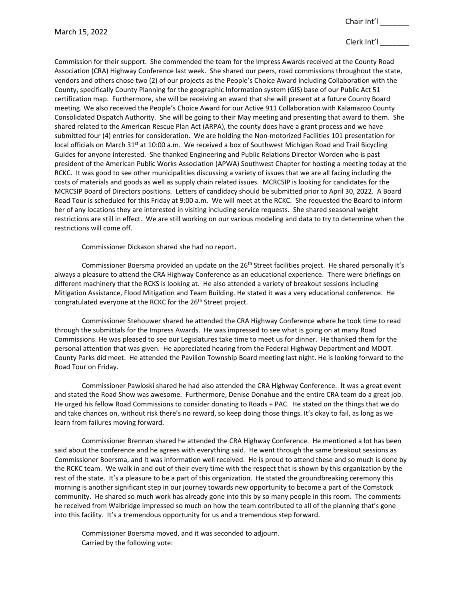# Clerk Int'l \_\_\_\_\_\_\_

Commission for their support. She commended the team for the Impress Awards received at the County Road Association (CRA) Highway Conference last week. She shared our peers, road commissions throughout the state, vendors and others chose two (2) of our projects as the People's Choice Award including Collaboration with the County, specifically County Planning for the geographic Information system (GIS) base of our Public Act 51 certification map. Furthermore, she will be receiving an award that she will present at a future County Board meeting. We also received the People's Choice Award for our Active 911 Collaboration with Kalamazoo County Consolidated Dispatch Authority. She will be going to their May meeting and presenting that award to them. She shared related to the American Rescue Plan Act (ARPA), the county does have a grant process and we have submitted four (4) entries for consideration. We are holding the Non-motorized Facilities 101 presentation for local officials on March 31<sup>st</sup> at 10:00 a.m. We received a box of Southwest Michigan Road and Trail Bicycling Guides for anyone interested. She thanked Engineering and Public Relations Director Worden who is past president of the American Public Works Association (APWA) Southwest Chapter for hosting a meeting today at the RCKC. It was good to see other municipalities discussing a variety of issues that we are all facing including the costs of materials and goods as well as supply chain related issues. MCRCSIP is looking for candidates for the MCRCSIP Board of Directors positions. Letters of candidacy should be submitted prior to April 30, 2022. A Board Road Tour is scheduled for this Friday at 9:00 a.m. We will meet at the RCKC. She requested the Board to inform her of any locations they are interested in visiting including service requests. She shared seasonal weight restrictions are still in effect. We are still working on our various modeling and data to try to determine when the restrictions will come off.

Commissioner Dickason shared she had no report.

Commissioner Boersma provided an update on the 26<sup>th</sup> Street facilities project. He shared personally it's always a pleasure to attend the CRA Highway Conference as an educational experience. There were briefings on different machinery that the RCKS is looking at. He also attended a variety of breakout sessions including Mitigation Assistance, Flood Mitigation and Team Building. He stated it was a very educational conference. He congratulated everyone at the RCKC for the 26<sup>th</sup> Street project.

Commissioner Stehouwer shared he attended the CRA Highway Conference where he took time to read through the submittals for the Impress Awards. He was impressed to see what is going on at many Road Commissions. He was pleased to see our Legislatures take time to meet us for dinner. He thanked them for the personal attention that was given. He appreciated hearing from the Federal Highway Department and MDOT. County Parks did meet. He attended the Pavilion Township Board meeting last night. He is looking forward to the Road Tour on Friday.

Commissioner Pawloski shared he had also attended the CRA Highway Conference. It was a great event and stated the Road Show was awesome. Furthermore, Denise Donahue and the entire CRA team do a great job. He urged his fellow Road Commissions to consider donating to Roads + PAC. He stated on the things that we do and take chances on, without risk there's no reward, so keep doing those things. It's okay to fail, as long as we learn from failures moving forward.

Commissioner Brennan shared he attended the CRA Highway Conference. He mentioned a lot has been said about the conference and he agrees with everything said. He went through the same breakout sessions as Commissioner Boersma, and It was information well received. He is proud to attend these and so much is done by the RCKC team. We walk in and out of their every time with the respect that is shown by this organization by the rest of the state. It's a pleasure to be a part of this organization. He stated the groundbreaking ceremony this morning is another significant step in our journey towards new opportunity to become a part of the Comstock community. He shared so much work has already gone into this by so many people in this room. The comments he received from Walbridge impressed so much on how the team contributed to all of the planning that's gone into this facility. It's a tremendous opportunity for us and a tremendous step forward.

Commissioner Boersma moved, and it was seconded to adjourn. Carried by the following vote: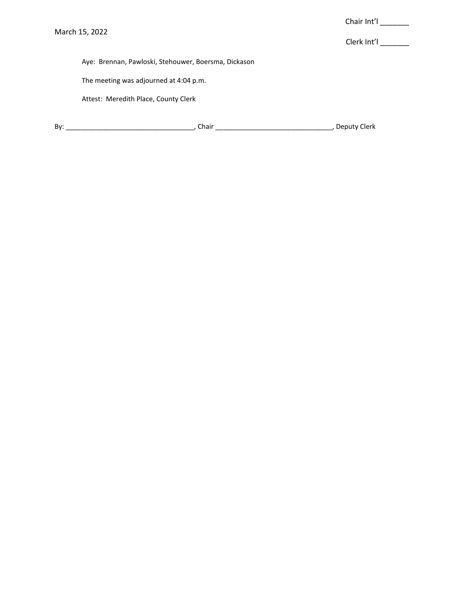Clerk Int'l \_\_\_\_\_\_\_

Aye: Brennan, Pawloski, Stehouwer, Boersma, Dickason

The meeting was adjourned at 4:04 p.m.

Attest: Meredith Place, County Clerk

| Bv: |  |  |  |
|-----|--|--|--|
|-----|--|--|--|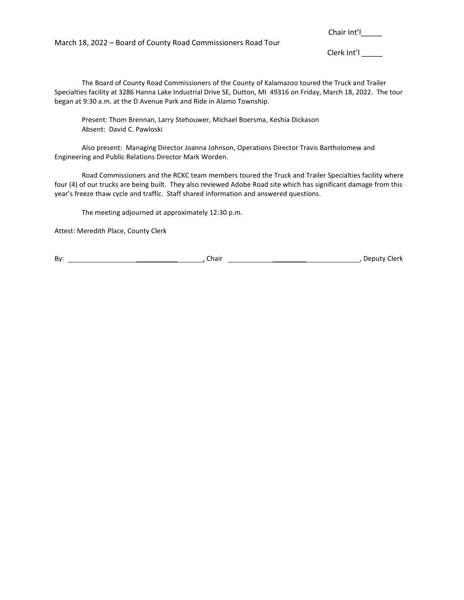March 18, 2022 – Board of County Road Commissioners Road Tour

Chair Int'l\_\_\_\_\_\_

Clerk Int'l\_\_\_\_\_

The Board of County Road Commissioners of the County of Kalamazoo toured the Truck and Trailer Specialties facility at 3286 Hanna Lake Industrial Drive SE, Dutton, MI 49316 on Friday, March 18, 2022. The tour began at 9:30 a.m. at the D Avenue Park and Ride in Alamo Township.

Present: Thom Brennan, Larry Stehouwer, Michael Boersma, Keshia Dickason Absent: David C. Pawloski

Also present: Managing Director Joanna Johnson, Operations Director Travis Bartholomew and Engineering and Public Relations Director Mark Worden.

Road Commissioners and the RCKC team members toured the Truck and Trailer Specialties facility where four (4) of our trucks are being built. They also reviewed Adobe Road site which has significant damage from this year's freeze thaw cycle and traffic. Staff shared information and answered questions.

The meeting adjourned at approximately 12:30 p.m.

Attest: Meredith Place, County Clerk

By: \_\_\_\_\_\_\_\_\_\_\_ , Chair \_\_\_\_\_\_\_\_\_ , Deputy Clerk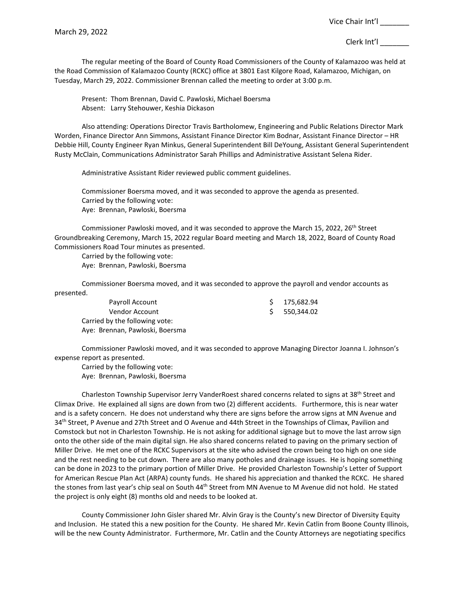The regular meeting of the Board of County Road Commissioners of the County of Kalamazoo was held at the Road Commission of Kalamazoo County (RCKC) office at 3801 East Kilgore Road, Kalamazoo, Michigan, on Tuesday, March 29, 2022. Commissioner Brennan called the meeting to order at 3:00 p.m.

Present: Thom Brennan, David C. Pawloski, Michael Boersma Absent: Larry Stehouwer, Keshia Dickason

Also attending: Operations Director Travis Bartholomew, Engineering and Public Relations Director Mark Worden, Finance Director Ann Simmons, Assistant Finance Director Kim Bodnar, Assistant Finance Director – HR Debbie Hill, County Engineer Ryan Minkus, General Superintendent Bill DeYoung, Assistant General Superintendent Rusty McClain, Communications Administrator Sarah Phillips and Administrative Assistant Selena Rider.

Administrative Assistant Rider reviewed public comment guidelines.

Commissioner Boersma moved, and it was seconded to approve the agenda as presented. Carried by the following vote: Aye: Brennan, Pawloski, Boersma

Commissioner Pawloski moved, and it was seconded to approve the March 15, 2022, 26<sup>th</sup> Street Groundbreaking Ceremony, March 15, 2022 regular Board meeting and March 18, 2022, Board of County Road Commissioners Road Tour minutes as presented.

Carried by the following vote: Aye: Brennan, Pawloski, Boersma

Commissioner Boersma moved, and it was seconded to approve the payroll and vendor accounts as presented.

| Payroll Account                 | \$175,682.94 |
|---------------------------------|--------------|
| Vendor Account                  | 550,344.02   |
| Carried by the following vote:  |              |
| Aye: Brennan, Pawloski, Boersma |              |

Commissioner Pawloski moved, and it was seconded to approve Managing Director Joanna I. Johnson's expense report as presented.

Carried by the following vote: Aye: Brennan, Pawloski, Boersma

Charleston Township Supervisor Jerry VanderRoest shared concerns related to signs at 38<sup>th</sup> Street and Climax Drive. He explained all signs are down from two (2) different accidents. Furthermore, this is near water and is a safety concern. He does not understand why there are signs before the arrow signs at MN Avenue and 34<sup>th</sup> Street, P Avenue and 27th Street and O Avenue and 44th Street in the Townships of Climax, Pavilion and Comstock but not in Charleston Township. He is not asking for additional signage but to move the last arrow sign onto the other side of the main digital sign. He also shared concerns related to paving on the primary section of Miller Drive. He met one of the RCKC Supervisors at the site who advised the crown being too high on one side and the rest needing to be cut down. There are also many potholes and drainage issues. He is hoping something can be done in 2023 to the primary portion of Miller Drive. He provided Charleston Township's Letter of Support for American Rescue Plan Act (ARPA) county funds. He shared his appreciation and thanked the RCKC. He shared the stones from last year's chip seal on South 44<sup>th</sup> Street from MN Avenue to M Avenue did not hold. He stated the project is only eight (8) months old and needs to be looked at.

County Commissioner John Gisler shared Mr. Alvin Gray is the County's new Director of Diversity Equity and Inclusion. He stated this a new position for the County. He shared Mr. Kevin Catlin from Boone County Illinois, will be the new County Administrator. Furthermore, Mr. Catlin and the County Attorneys are negotiating specifics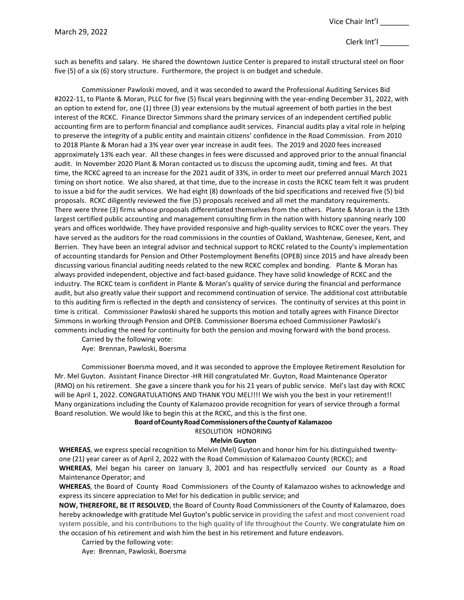such as benefits and salary. He shared the downtown Justice Center is prepared to install structural steel on floor five (5) of a six (6) story structure. Furthermore, the project is on budget and schedule.

Commissioner Pawloski moved, and it was seconded to award the Professional Auditing Services Bid #2022-11, to Plante & Moran, PLLC for five (5) fiscal years beginning with the year-ending December 31, 2022, with an option to extend for, one (1) three (3) year extensions by the mutual agreement of both parties in the best interest of the RCKC. Finance Director Simmons shard the primary services of an independent certified public accounting firm are to perform financial and compliance audit services. Financial audits play a vital role in helping to preserve the integrity of a public entity and maintain citizens' confidence in the Road Commission. From 2010 to 2018 Plante & Moran had a 3% year over year increase in audit fees. The 2019 and 2020 fees increased approximately 13% each year. All these changes in fees were discussed and approved prior to the annual financial audit. In November 2020 Plant & Moran contacted us to discuss the upcoming audit, timing and fees. At that time, the RCKC agreed to an increase for the 2021 audit of 33%, in order to meet our preferred annual March 2021 timing on short notice. We also shared, at that time, due to the increase in costs the RCKC team felt it was prudent to issue a bid for the audit services. We had eight (8) downloads of the bid specifications and received five (5) bid proposals. RCKC diligently reviewed the five (5) proposals received and all met the mandatory requirements. There were three (3) firms whose proposals differentiated themselves from the others. Plante & Moran is the 13th largest certified public accounting and management consulting firm in the nation with history spanning nearly 100 years and offices worldwide. They have provided responsive and high-quality services to RCKC over the years. They have served as the auditors for the road commissions in the counties of Oakland, Washtenaw, Genesee, Kent, and Berrien. They have been an integral advisor and technical support to RCKC related to the County's implementation of accounting standards for Pension and Other Postemployment Benefits (OPEB) since 2015 and have already been discussing various financial auditing needs related to the new RCKC complex and bonding. Plante & Moran has always provided independent, objective and fact-based guidance. They have solid knowledge of RCKC and the industry. The RCKC team is confident in Plante & Moran's quality of service during the financial and performance audit, but also greatly value their support and recommend continuation of service. The additional cost attributable to this auditing firm is reflected in the depth and consistency of services. The continuity of services at this point in time is critical. Commissioner Pawloski shared he supports this motion and totally agrees with Finance Director Simmons in working through Pension and OPEB. Commissioner Boersma echoed Commissioner Pawloski's comments including the need for continuity for both the pension and moving forward with the bond process.

Carried by the following vote: Aye: Brennan, Pawloski, Boersma

Commissioner Boersma moved, and it was seconded to approve the Employee Retirement Resolution for Mr. Mel Guyton. Assistant Finance Director -HR Hill congratulated Mr. Guyton, Road Maintenance Operator (RMO) on his retirement. She gave a sincere thank you for his 21 years of public service. Mel's last day with RCKC will be April 1, 2022. CONGRATULATIONS AND THANK YOU MEL!!!! We wish you the best in your retirement!! Many organizations including the County of Kalamazoo provide recognition for years of service through a formal Board resolution. We would like to begin this at the RCKC, and this is the first one.

# **BoardofCountyRoadCommissionersoftheCountyof Kalamazoo**

RESOLUTION HONORING

# **Melvin Guyton**

**WHEREAS**, we express special recognition to Melvin (Mel) Guyton and honor him for his distinguished twentyone (21) year career as of April 2, 2022 with the Road Commission of Kalamazoo County (RCKC); and **WHEREAS**, Mel began his career on January 3, 2001 and has respectfully serviced our County as a Road Maintenance Operator; and

**WHEREAS**, the Board of County Road Commissioners of the County of Kalamazoo wishes to acknowledge and express its sincere appreciation to Mel for his dedication in public service; and

**NOW, THEREFORE, BE IT RESOLVED**, the Board of County Road Commissioners of the County of Kalamazoo, does hereby acknowledge with gratitude Mel Guyton's public service in providing the safest and most convenient road system possible, and his contributions to the high quality of life throughout the County. We congratulate him on the occasion of his retirement and wish him the best in his retirement and future endeavors.

Carried by the following vote: Aye: Brennan, Pawloski, Boersma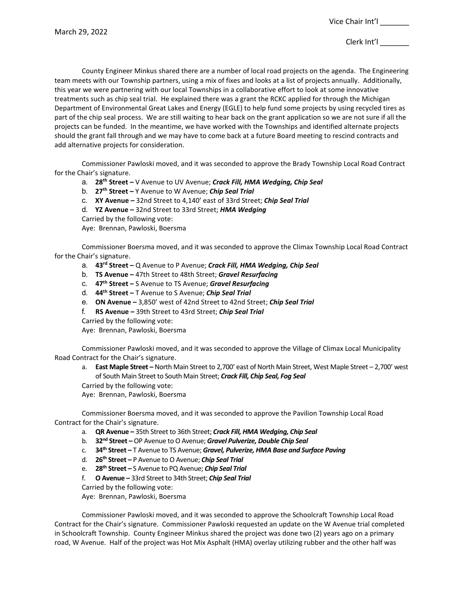County Engineer Minkus shared there are a number of local road projects on the agenda. The Engineering team meets with our Township partners, using a mix of fixes and looks at a list of projects annually. Additionally, this year we were partnering with our local Townships in a collaborative effort to look at some innovative treatments such as chip seal trial. He explained there was a grant the RCKC applied for through the Michigan Department of Environmental Great Lakes and Energy (EGLE) to help fund some projects by using recycled tires as part of the chip seal process. We are still waiting to hear back on the grant application so we are not sure if all the projects can be funded. In the meantime, we have worked with the Townships and identified alternate projects should the grant fall through and we may have to come back at a future Board meeting to rescind contracts and add alternative projects for consideration.

Commissioner Pawloski moved, and it was seconded to approve the Brady Township Local Road Contract for the Chair's signature.

- a. **28th Street –** V Avenue to UV Avenue; *Crack Fill, HMA Wedging, Chip Seal*
- b. **27th Street –** Y Avenue to W Avenue; *Chip Seal Trial*
- c. **XY Avenue –** 32nd Street to 4,140' east of 33rd Street; *Chip Seal Trial*
- d. **YZ Avenue –** 32nd Street to 33rd Street; *HMA Wedging*
- Carried by the following vote:

Aye: Brennan, Pawloski, Boersma

Commissioner Boersma moved, and it was seconded to approve the Climax Township Local Road Contract for the Chair's signature.

- a. **43rd Street –** Q Avenue to P Avenue; *Crack Fill, HMA Wedging, Chip Seal*
- b. **TS Avenue –** 47th Street to 48th Street; *Gravel Resurfacing*
- c. **47th Street –** S Avenue to TS Avenue; *Gravel Resurfacing*
- d. **44th Street –** T Avenue to S Avenue; *Chip Seal Trial*
- e. **ON Avenue –** 3,850' west of 42nd Street to 42nd Street; *Chip Seal Trial*
- f. **RS Avenue –** 39th Street to 43rd Street; *Chip Seal Trial*
- Carried by the following vote:

Aye: Brennan, Pawloski, Boersma

Commissioner Pawloski moved, and it was seconded to approve the Village of Climax Local Municipality Road Contract for the Chair's signature.

- a. **East Maple Street –** North Main Street to 2,700' east of North Main Street, West Maple Street 2,700' west of South Main Street to South Main Street; *Crack Fill, Chip Seal, Fog Seal*
- Carried by the following vote:

Aye: Brennan, Pawloski, Boersma

Commissioner Boersma moved, and it was seconded to approve the Pavilion Township Local Road Contract for the Chair's signature.

- a. **QR Avenue –** 35th Street to 36th Street; *Crack Fill, HMA Wedging, Chip Seal*
- b. **32nd Street –** OP Avenue to O Avenue; *Gravel Pulverize, Double Chip Seal*
- c. **34th Street –** T Avenue to TS Avenue; *Gravel, Pulverize, HMA Base and Surface Paving*
- d. **26th Street –** P Avenue to O Avenue; *Chip Seal Trial*
- e. **28th Street –** S Avenue to PQ Avenue; *Chip Seal Trial*
- f. **O Avenue –** 33rd Street to 34th Street; *Chip Seal Trial*

Carried by the following vote:

Aye: Brennan, Pawloski, Boersma

Commissioner Pawloski moved, and it was seconded to approve the Schoolcraft Township Local Road Contract for the Chair's signature. Commissioner Pawloski requested an update on the W Avenue trial completed in Schoolcraft Township. County Engineer Minkus shared the project was done two (2) years ago on a primary road, W Avenue. Half of the project was Hot Mix Asphalt (HMA) overlay utilizing rubber and the other half was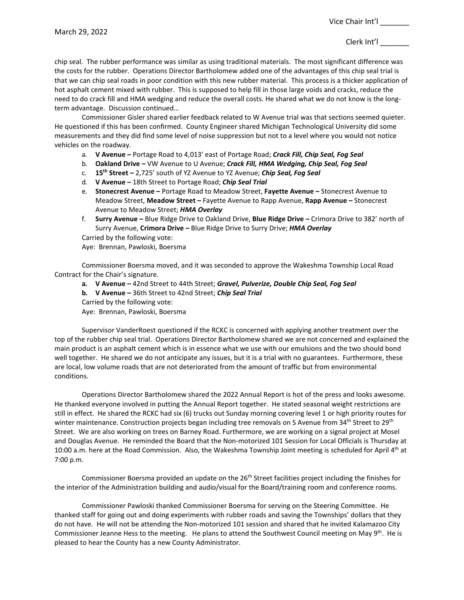chip seal. The rubber performance was similar as using traditional materials. The most significant difference was the costs for the rubber. Operations Director Bartholomew added one of the advantages of this chip seal trial is that we can chip seal roads in poor condition with this new rubber material. This process is a thicker application of hot asphalt cement mixed with rubber. This is supposed to help fill in those large voids and cracks, reduce the need to do crack fill and HMA wedging and reduce the overall costs. He shared what we do not know is the longterm advantage. Discussion continued…

Commissioner Gisler shared earlier feedback related to W Avenue trial was that sections seemed quieter. He questioned if this has been confirmed. County Engineer shared Michigan Technological University did some measurements and they did find some level of noise suppression but not to a level where you would not notice vehicles on the roadway.

- a. **V Avenue –** Portage Road to 4,013' east of Portage Road; *Crack Fill, Chip Seal, Fog Seal*
- b. **Oakland Drive –** VW Avenue to U Avenue; *Crack Fill, HMA Wedging, Chip Seal, Fog Seal*
- c. **15th Street –** 2,725' south of YZ Avenue to YZ Avenue; *Chip Seal, Fog Seal*
- d. **V Avenue –** 18th Street to Portage Road; *Chip Seal Trial*
- e. **Stonecrest Avenue –** Portage Road to Meadow Street, **Fayette Avenue –** Stonecrest Avenue to Meadow Street, **Meadow Street –** Fayette Avenue to Rapp Avenue, **Rapp Avenue –** Stonecrest Avenue to Meadow Street; *HMA Overlay*
- f. **Surry Avenue –** Blue Ridge Drive to Oakland Drive, **Blue Ridge Drive –** Crimora Drive to 382' north of Surry Avenue, **Crimora Drive –** Blue Ridge Drive to Surry Drive; *HMA Overlay*

Carried by the following vote:

Aye: Brennan, Pawloski, Boersma

Commissioner Boersma moved, and it was seconded to approve the Wakeshma Township Local Road Contract for the Chair's signature.

- **a. V Avenue –** 42nd Street to 44th Street; *Gravel, Pulverize, Double Chip Seal, Fog Seal*
- **b. V Avenue –** 36th Street to 42nd Street; *Chip Seal Trial*
- Carried by the following vote:
- Aye: Brennan, Pawloski, Boersma

Supervisor VanderRoest questioned if the RCKC is concerned with applying another treatment over the top of the rubber chip seal trial. Operations Director Bartholomew shared we are not concerned and explained the main product is an asphalt cement which is in essence what we use with our emulsions and the two should bond well together. He shared we do not anticipate any issues, but it is a trial with no guarantees. Furthermore, these are local, low volume roads that are not deteriorated from the amount of traffic but from environmental conditions.

Operations Director Bartholomew shared the 2022 Annual Report is hot of the press and looks awesome. He thanked everyone involved in putting the Annual Report together. He stated seasonal weight restrictions are still in effect. He shared the RCKC had six (6) trucks out Sunday morning covering level 1 or high priority routes for winter maintenance. Construction projects began including tree removals on S Avenue from 34<sup>th</sup> Street to 29<sup>th</sup> Street. We are also working on trees on Barney Road. Furthermore, we are working on a signal project at Mosel and Douglas Avenue. He reminded the Board that the Non-motorized 101 Session for Local Officials is Thursday at 10:00 a.m. here at the Road Commission. Also, the Wakeshma Township Joint meeting is scheduled for April 4<sup>th</sup> at 7:00 p.m.

Commissioner Boersma provided an update on the  $26<sup>th</sup>$  Street facilities project including the finishes for the interior of the Administration building and audio/visual for the Board/training room and conference rooms.

Commissioner Pawloski thanked Commissioner Boersma for serving on the Steering Committee. He thanked staff for going out and doing experiments with rubber roads and saving the Townships' dollars that they do not have. He will not be attending the Non-motorized 101 session and shared that he invited Kalamazoo City Commissioner Jeanne Hess to the meeting. He plans to attend the Southwest Council meeting on May 9<sup>th</sup>. He is pleased to hear the County has a new County Administrator.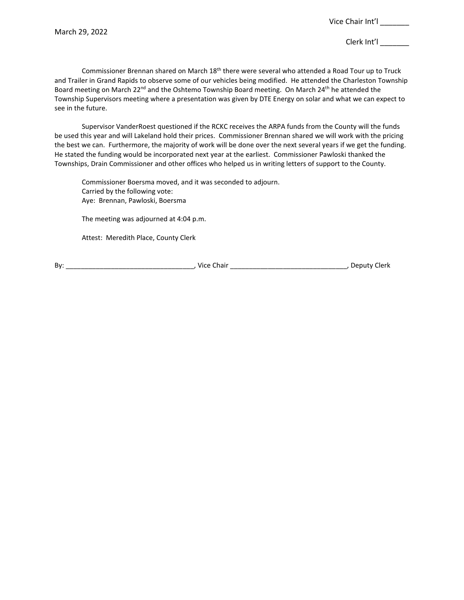Commissioner Brennan shared on March 18<sup>th</sup> there were several who attended a Road Tour up to Truck and Trailer in Grand Rapids to observe some of our vehicles being modified. He attended the Charleston Township Board meeting on March 22<sup>nd</sup> and the Oshtemo Township Board meeting. On March 24<sup>th</sup> he attended the Township Supervisors meeting where a presentation was given by DTE Energy on solar and what we can expect to see in the future.

Supervisor VanderRoest questioned if the RCKC receives the ARPA funds from the County will the funds be used this year and will Lakeland hold their prices. Commissioner Brennan shared we will work with the pricing the best we can. Furthermore, the majority of work will be done over the next several years if we get the funding. He stated the funding would be incorporated next year at the earliest. Commissioner Pawloski thanked the Townships, Drain Commissioner and other offices who helped us in writing letters of support to the County.

Commissioner Boersma moved, and it was seconded to adjourn. Carried by the following vote: Aye: Brennan, Pawloski, Boersma

The meeting was adjourned at 4:04 p.m.

Attest: Meredith Place, County Clerk

By: \_\_\_\_\_\_\_\_\_\_\_\_\_\_\_\_\_\_\_\_\_\_\_\_\_\_\_\_\_\_\_\_\_\_, Vice Chair \_\_\_\_\_\_\_\_\_\_\_\_\_\_\_\_\_\_\_\_\_\_\_\_\_\_\_\_\_\_\_, Deputy Clerk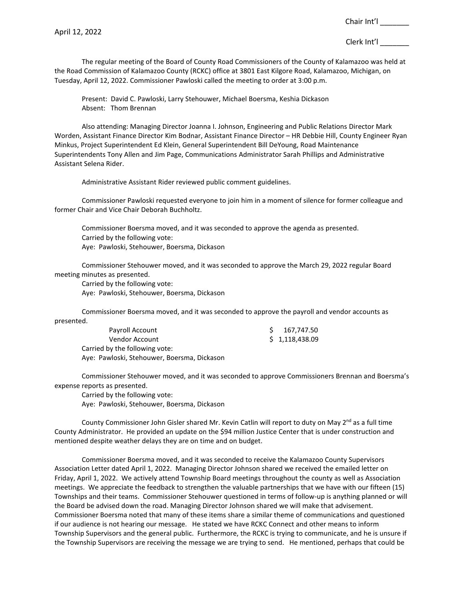The regular meeting of the Board of County Road Commissioners of the County of Kalamazoo was held at the Road Commission of Kalamazoo County (RCKC) office at 3801 East Kilgore Road, Kalamazoo, Michigan, on Tuesday, April 12, 2022. Commissioner Pawloski called the meeting to order at 3:00 p.m.

Present: David C. Pawloski, Larry Stehouwer, Michael Boersma, Keshia Dickason Absent: Thom Brennan

Also attending: Managing Director Joanna I. Johnson, Engineering and Public Relations Director Mark Worden, Assistant Finance Director Kim Bodnar, Assistant Finance Director – HR Debbie Hill, County Engineer Ryan Minkus, Project Superintendent Ed Klein, General Superintendent Bill DeYoung, Road Maintenance Superintendents Tony Allen and Jim Page, Communications Administrator Sarah Phillips and Administrative Assistant Selena Rider.

Administrative Assistant Rider reviewed public comment guidelines.

Commissioner Pawloski requested everyone to join him in a moment of silence for former colleague and former Chair and Vice Chair Deborah Buchholtz.

Commissioner Boersma moved, and it was seconded to approve the agenda as presented. Carried by the following vote: Aye: Pawloski, Stehouwer, Boersma, Dickason

Commissioner Stehouwer moved, and it was seconded to approve the March 29, 2022 regular Board meeting minutes as presented.

Carried by the following vote:

Aye: Pawloski, Stehouwer, Boersma, Dickason

Commissioner Boersma moved, and it was seconded to approve the payroll and vendor accounts as presented.

| Payroll Account                             | 167,747.50     |
|---------------------------------------------|----------------|
| Vendor Account                              | \$1,118,438.09 |
| Carried by the following vote:              |                |
| Aye: Pawloski, Stehouwer, Boersma, Dickason |                |

Commissioner Stehouwer moved, and it was seconded to approve Commissioners Brennan and Boersma's expense reports as presented.

Carried by the following vote: Aye: Pawloski, Stehouwer, Boersma, Dickason

County Commissioner John Gisler shared Mr. Kevin Catlin will report to duty on May 2<sup>nd</sup> as a full time County Administrator. He provided an update on the \$94 million Justice Center that is under construction and mentioned despite weather delays they are on time and on budget.

Commissioner Boersma moved, and it was seconded to receive the Kalamazoo County Supervisors Association Letter dated April 1, 2022. Managing Director Johnson shared we received the emailed letter on Friday, April 1, 2022. We actively attend Township Board meetings throughout the county as well as Association meetings. We appreciate the feedback to strengthen the valuable partnerships that we have with our fifteen (15) Townships and their teams. Commissioner Stehouwer questioned in terms of follow-up is anything planned or will the Board be advised down the road. Managing Director Johnson shared we will make that advisement. Commissioner Boersma noted that many of these items share a similar theme of communications and questioned if our audience is not hearing our message. He stated we have RCKC Connect and other means to inform Township Supervisors and the general public. Furthermore, the RCKC is trying to communicate, and he is unsure if the Township Supervisors are receiving the message we are trying to send. He mentioned, perhaps that could be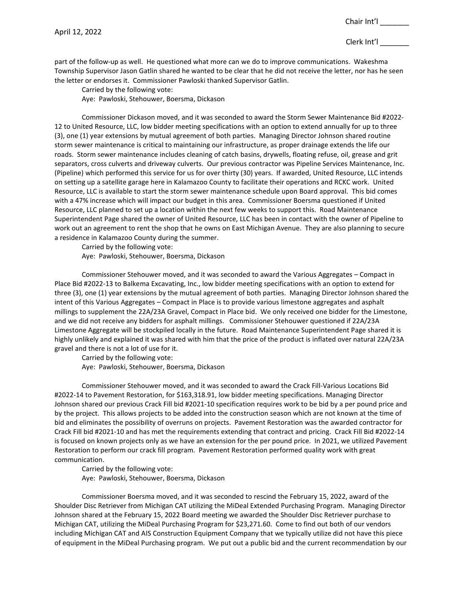part of the follow-up as well. He questioned what more can we do to improve communications. Wakeshma Township Supervisor Jason Gatlin shared he wanted to be clear that he did not receive the letter, nor has he seen the letter or endorses it. Commissioner Pawloski thanked Supervisor Gatlin.

Carried by the following vote: Aye: Pawloski, Stehouwer, Boersma, Dickason

Commissioner Dickason moved, and it was seconded to award the Storm Sewer Maintenance Bid #2022- 12 to United Resource, LLC, low bidder meeting specifications with an option to extend annually for up to three (3), one (1) year extensions by mutual agreement of both parties. Managing Director Johnson shared routine storm sewer maintenance is critical to maintaining our infrastructure, as proper drainage extends the life our roads. Storm sewer maintenance includes cleaning of catch basins, drywells, floating refuse, oil, grease and grit separators, cross culverts and driveway culverts. Our previous contractor was Pipeline Services Maintenance, Inc. (Pipeline) which performed this service for us for over thirty (30) years. If awarded, United Resource, LLC intends on setting up a satellite garage here in Kalamazoo County to facilitate their operations and RCKC work. United Resource, LLC is available to start the storm sewer maintenance schedule upon Board approval. This bid comes with a 47% increase which will impact our budget in this area. Commissioner Boersma questioned if United Resource, LLC planned to set up a location within the next few weeks to support this. Road Maintenance Superintendent Page shared the owner of United Resource, LLC has been in contact with the owner of Pipeline to work out an agreement to rent the shop that he owns on East Michigan Avenue. They are also planning to secure a residence in Kalamazoo County during the summer.

Carried by the following vote:

Aye: Pawloski, Stehouwer, Boersma, Dickason

Commissioner Stehouwer moved, and it was seconded to award the Various Aggregates – Compact in Place Bid #2022-13 to Balkema Excavating, Inc., low bidder meeting specifications with an option to extend for three (3), one (1) year extensions by the mutual agreement of both parties. Managing Director Johnson shared the intent of this Various Aggregates – Compact in Place is to provide various limestone aggregates and asphalt millings to supplement the 22A/23A Gravel, Compact in Place bid. We only received one bidder for the Limestone, and we did not receive any bidders for asphalt millings. Commissioner Stehouwer questioned if 22A/23A Limestone Aggregate will be stockpiled locally in the future. Road Maintenance Superintendent Page shared it is highly unlikely and explained it was shared with him that the price of the product is inflated over natural 22A/23A gravel and there is not a lot of use for it.

Carried by the following vote:

Aye: Pawloski, Stehouwer, Boersma, Dickason

Commissioner Stehouwer moved, and it was seconded to award the Crack Fill-Various Locations Bid #2022-14 to Pavement Restoration, for \$163,318.91, low bidder meeting specifications. Managing Director Johnson shared our previous Crack Fill bid #2021-10 specification requires work to be bid by a per pound price and by the project. This allows projects to be added into the construction season which are not known at the time of bid and eliminates the possibility of overruns on projects. Pavement Restoration was the awarded contractor for Crack Fill bid #2021-10 and has met the requirements extending that contract and pricing. Crack Fill Bid #2022-14 is focused on known projects only as we have an extension for the per pound price. In 2021, we utilized Pavement Restoration to perform our crack fill program. Pavement Restoration performed quality work with great communication.

Carried by the following vote: Aye: Pawloski, Stehouwer, Boersma, Dickason

Commissioner Boersma moved, and it was seconded to rescind the February 15, 2022, award of the Shoulder Disc Retriever from Michigan CAT utilizing the MiDeal Extended Purchasing Program. Managing Director Johnson shared at the February 15, 2022 Board meeting we awarded the Shoulder Disc Retriever purchase to Michigan CAT, utilizing the MiDeal Purchasing Program for \$23,271.60. Come to find out both of our vendors including Michigan CAT and AIS Construction Equipment Company that we typically utilize did not have this piece of equipment in the MiDeal Purchasing program. We put out a public bid and the current recommendation by our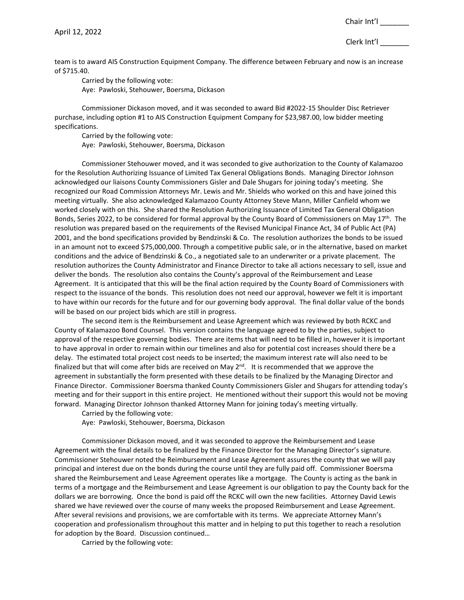team is to award AIS Construction Equipment Company. The difference between February and now is an increase of \$715.40.

Carried by the following vote: Aye: Pawloski, Stehouwer, Boersma, Dickason

Commissioner Dickason moved, and it was seconded to award Bid #2022-15 Shoulder Disc Retriever purchase, including option #1 to AIS Construction Equipment Company for \$23,987.00, low bidder meeting specifications.

Carried by the following vote: Aye: Pawloski, Stehouwer, Boersma, Dickason

Commissioner Stehouwer moved, and it was seconded to give authorization to the County of Kalamazoo for the Resolution Authorizing Issuance of Limited Tax General Obligations Bonds. Managing Director Johnson acknowledged our liaisons County Commissioners Gisler and Dale Shugars for joining today's meeting. She recognized our Road Commission Attorneys Mr. Lewis and Mr. Shields who worked on this and have joined this meeting virtually. She also acknowledged Kalamazoo County Attorney Steve Mann, Miller Canfield whom we worked closely with on this. She shared the Resolution Authorizing Issuance of Limited Tax General Obligation Bonds, Series 2022, to be considered for formal approval by the County Board of Commissioners on May 17th. The resolution was prepared based on the requirements of the Revised Municipal Finance Act, 34 of Public Act (PA) 2001, and the bond specifications provided by Bendzinski & Co. The resolution authorizes the bonds to be issued in an amount not to exceed \$75,000,000. Through a competitive public sale, or in the alternative, based on market conditions and the advice of Bendzinski & Co., a negotiated sale to an underwriter or a private placement. The resolution authorizes the County Administrator and Finance Director to take all actions necessary to sell, issue and deliver the bonds. The resolution also contains the County's approval of the Reimbursement and Lease Agreement. It is anticipated that this will be the final action required by the County Board of Commissioners with respect to the issuance of the bonds. This resolution does not need our approval, however we felt it is important to have within our records for the future and for our governing body approval. The final dollar value of the bonds will be based on our project bids which are still in progress.

The second item is the Reimbursement and Lease Agreement which was reviewed by both RCKC and County of Kalamazoo Bond Counsel. This version contains the language agreed to by the parties, subject to approval of the respective governing bodies. There are items that will need to be filled in, however it is important to have approval in order to remain within our timelines and also for potential cost increases should there be a delay. The estimated total project cost needs to be inserted; the maximum interest rate will also need to be finalized but that will come after bids are received on May  $2^{nd}$ . It is recommended that we approve the agreement in substantially the form presented with these details to be finalized by the Managing Director and Finance Director. Commissioner Boersma thanked County Commissioners Gisler and Shugars for attending today's meeting and for their support in this entire project. He mentioned without their support this would not be moving forward. Managing Director Johnson thanked Attorney Mann for joining today's meeting virtually.

Carried by the following vote:

Aye: Pawloski, Stehouwer, Boersma, Dickason

Commissioner Dickason moved, and it was seconded to approve the Reimbursement and Lease Agreement with the final details to be finalized by the Finance Director for the Managing Director's signature. Commissioner Stehouwer noted the Reimbursement and Lease Agreement assures the county that we will pay principal and interest due on the bonds during the course until they are fully paid off. Commissioner Boersma shared the Reimbursement and Lease Agreement operates like a mortgage. The County is acting as the bank in terms of a mortgage and the Reimbursement and Lease Agreement is our obligation to pay the County back for the dollars we are borrowing. Once the bond is paid off the RCKC will own the new facilities. Attorney David Lewis shared we have reviewed over the course of many weeks the proposed Reimbursement and Lease Agreement. After several revisions and provisions, we are comfortable with its terms. We appreciate Attorney Mann's cooperation and professionalism throughout this matter and in helping to put this together to reach a resolution for adoption by the Board. Discussion continued…

Carried by the following vote: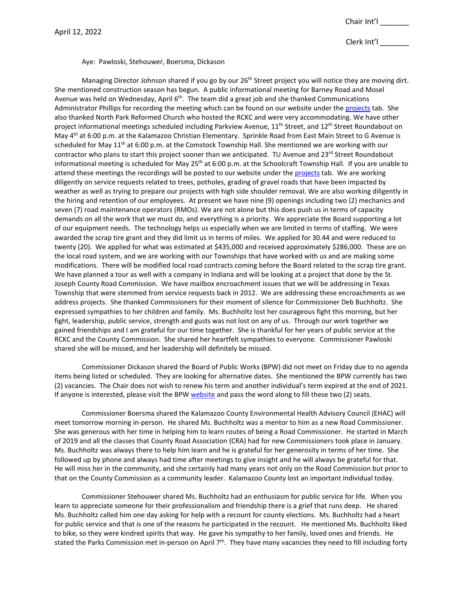Clerk Int'l \_\_\_\_\_\_\_

Aye: Pawloski, Stehouwer, Boersma, Dickason

Managing Director Johnson shared if you go by our 26<sup>th</sup> Street project you will notice they are moving dirt. She mentioned construction season has begun. A public informational meeting for Barney Road and Mosel Avenue was held on Wednesday, April  $6<sup>th</sup>$ . The team did a great job and she thanked Communications Administrator Phillips for recording the meeting which can be found on our website under the [projects](https://www.kalamazoocountyroads.com/projects.php) tab. She also thanked North Park Reformed Church who hosted the RCKC and were very accommodating. We have other project informational meetings scheduled including Parkview Avenue, 11<sup>th</sup> Street, and 12<sup>th</sup> Street Roundabout on May 4<sup>th</sup> at 6:00 p.m. at the Kalamazoo Christian Elementary. Sprinkle Road from East Main Street to G Avenue is scheduled for May  $11<sup>th</sup>$  at 6:00 p.m. at the Comstock Township Hall. She mentioned we are working with our contractor who plans to start this project sooner than we anticipated. TU Avenue and 23rd Street Roundabout informational meeting is scheduled for May 25<sup>th</sup> at 6:00 p.m. at the Schoolcraft Township Hall. If you are unable to attend these meetings the recordings will be posted to our website under the [projects](https://www.kalamazoocountyroads.com/projects.php) tab. We are working diligently on service requests related to trees, potholes, grading of gravel roads that have been impacted by weather as well as trying to prepare our projects with high side shoulder removal. We are also working diligently in the hiring and retention of our employees. At present we have nine (9) openings including two (2) mechanics and seven (7) road maintenance operators (RMOs). We are not alone but this does push us in terms of capacity demands on all the work that we must do, and everything is a priority. We appreciate the Board supporting a lot of our equipment needs. The technology helps us especially when we are limited in terms of staffing. We were awarded the scrap tire grant and they did limit us in terms of miles. We applied for 30.44 and were reduced to twenty (20). We applied for what was estimated at \$435,000 and received approximately \$286,000. These are on the local road system, and we are working with our Townships that have worked with us and are making some modifications. There will be modified local road contracts coming before the Board related to the scrap tire grant. We have planned a tour as well with a company in Indiana and will be looking at a project that done by the St. Joseph County Road Commission. We have mailbox encroachment issues that we will be addressing in Texas Township that were stemmed from service requests back in 2012. We are addressing these encroachments as we address projects. She thanked Commissioners for their moment of silence for Commissioner Deb Buchholtz. She expressed sympathies to her children and family. Ms. Buchholtz lost her courageous fight this morning, but her fight, leadership, public service, strength and gusts was not lost on any of us. Through our work together we gained friendships and I am grateful for our time together. She is thankful for her years of public service at the RCKC and the County Commission. She shared her heartfelt sympathies to everyone. Commissioner Pawloski shared she will be missed, and her leadership will definitely be missed.

Commissioner Dickason shared the Board of Public Works (BPW) did not meet on Friday due to no agenda items being listed or scheduled. They are looking for alternative dates. She mentioned the BPW currently has two (2) vacancies. The Chair does not wish to renew his term and another individual's term expired at the end of 2021. If anyone is interested, please visit the BPW [website](https://www.kalcounty.com/board/advisoryboards/board.php?board=3) and pass the word along to fill these two (2) seats.

Commissioner Boersma shared the Kalamazoo County Environmental Health Advisory Council (EHAC) will meet tomorrow morning in-person. He shared Ms. Buchholtz was a mentor to him as a new Road Commissioner. She was generous with her time in helping him to learn routes of being a Road Commissioner. He started in March of 2019 and all the classes that County Road Association (CRA) had for new Commissioners took place in January. Ms. Buchholtz was always there to help him learn and he is grateful for her generosity in terms of her time. She followed up by phone and always had time after meetings to give insight and he will always be grateful for that. He will miss her in the community, and she certainly had many years not only on the Road Commission but prior to that on the County Commission as a community leader. Kalamazoo County lost an important individual today.

Commissioner Stehouwer shared Ms. Buchholtz had an enthusiasm for public service for life. When you learn to appreciate someone for their professionalism and friendship there is a grief that runs deep. He shared Ms. Buchholtz called him one day asking for help with a recount for county elections. Ms. Buchholtz had a heart for public service and that is one of the reasons he participated in the recount. He mentioned Ms. Buchholtz liked to bike, so they were kindred spirits that way. He gave his sympathy to her family, loved ones and friends. He stated the Parks Commission met in-person on April 7<sup>th</sup>. They have many vacancies they need to fill including forty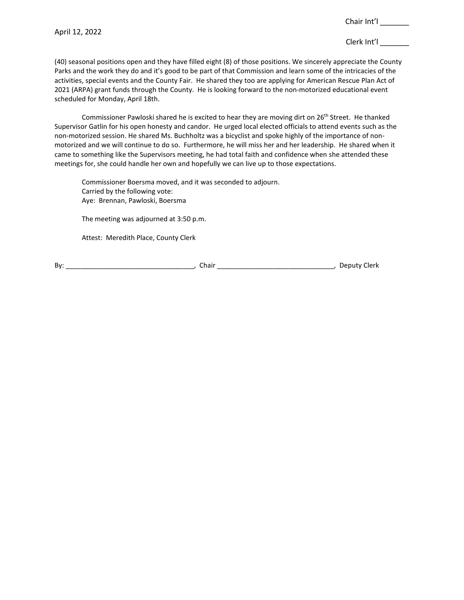(40) seasonal positions open and they have filled eight (8) of those positions. We sincerely appreciate the County Parks and the work they do and it's good to be part of that Commission and learn some of the intricacies of the activities, special events and the County Fair. He shared they too are applying for American Rescue Plan Act of 2021 (ARPA) grant funds through the County. He is looking forward to the non-motorized educational event scheduled for Monday, April 18th.

Commissioner Pawloski shared he is excited to hear they are moving dirt on 26<sup>th</sup> Street. He thanked Supervisor Gatlin for his open honesty and candor. He urged local elected officials to attend events such as the non-motorized session. He shared Ms. Buchholtz was a bicyclist and spoke highly of the importance of nonmotorized and we will continue to do so. Furthermore, he will miss her and her leadership. He shared when it came to something like the Supervisors meeting, he had total faith and confidence when she attended these meetings for, she could handle her own and hopefully we can live up to those expectations.

Commissioner Boersma moved, and it was seconded to adjourn. Carried by the following vote: Aye: Brennan, Pawloski, Boersma

The meeting was adjourned at 3:50 p.m.

Attest: Meredith Place, County Clerk

By: \_\_\_\_\_\_\_\_\_\_\_\_\_\_\_\_\_\_\_\_\_\_\_\_\_\_\_\_\_\_\_\_\_\_, Chair \_\_\_\_\_\_\_\_\_\_\_\_\_\_\_\_\_\_\_\_\_\_\_\_\_\_\_\_\_\_\_, Deputy Clerk